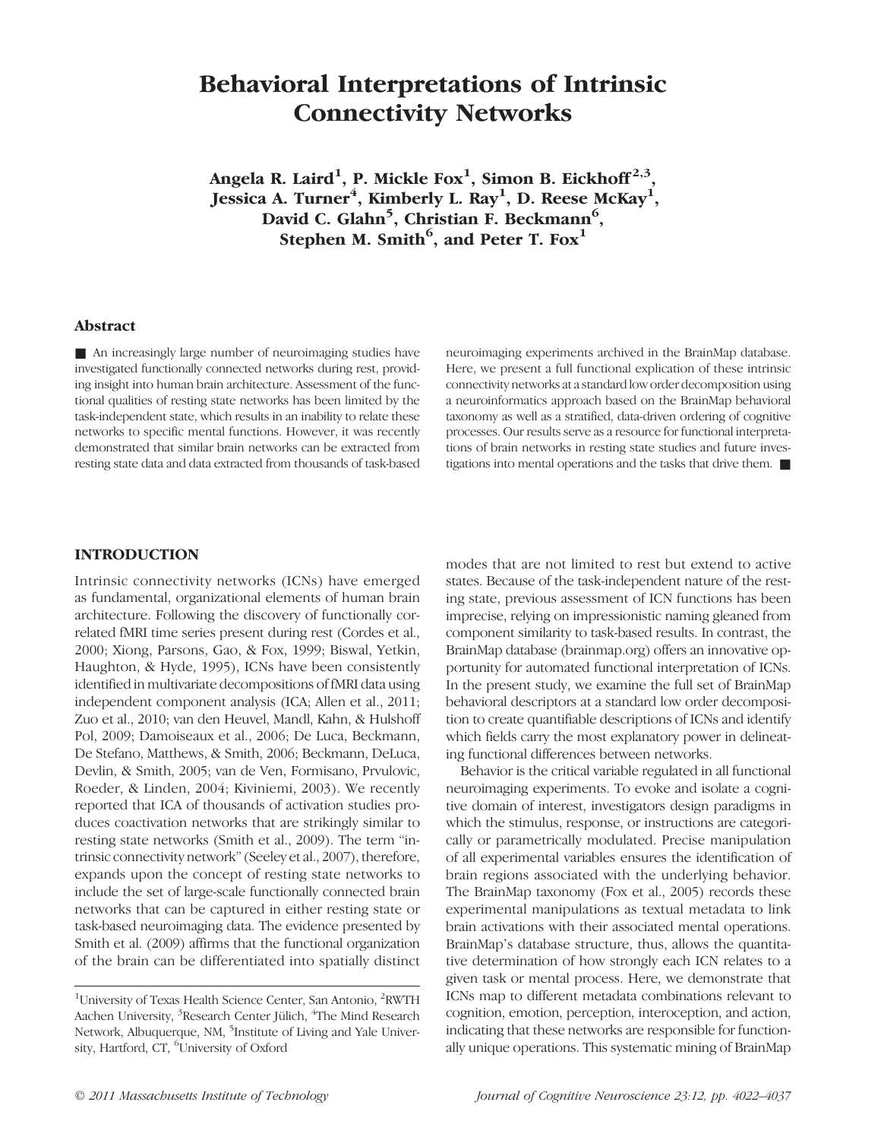# Behavioral Interpretations of Intrinsic Connectivity Networks

Angela R. Laird $^1$ , P. Mickle Fox $^1$ , Simon B. Eickhoff $^{2,3},$ Jessica A. Turner<sup>4</sup>, Kimberly L. Ray<sup>1</sup>, D. Reese McKay<sup>1</sup>, David C. Glahn<sup>5</sup>, Christian F. Beckmann<sup>6</sup>, Stephen M. Smith<sup>6</sup>, and Peter T.  $Fox<sup>1</sup>$ 

#### Abstract

■ An increasingly large number of neuroimaging studies have investigated functionally connected networks during rest, providing insight into human brain architecture. Assessment of the functional qualities of resting state networks has been limited by the task-independent state, which results in an inability to relate these networks to specific mental functions. However, it was recently demonstrated that similar brain networks can be extracted from resting state data and data extracted from thousands of task-based neuroimaging experiments archived in the BrainMap database. Here, we present a full functional explication of these intrinsic connectivity networks at a standard low order decomposition using a neuroinformatics approach based on the BrainMap behavioral taxonomy as well as a stratified, data-driven ordering of cognitive processes. Our results serve as a resource for functional interpretations of brain networks in resting state studies and future investigations into mental operations and the tasks that drive them. ■

#### INTRODUCTION

Intrinsic connectivity networks (ICNs) have emerged as fundamental, organizational elements of human brain architecture. Following the discovery of functionally correlated fMRI time series present during rest (Cordes et al., 2000; Xiong, Parsons, Gao, & Fox, 1999; Biswal, Yetkin, Haughton, & Hyde, 1995), ICNs have been consistently identified in multivariate decompositions of fMRI data using independent component analysis (ICA; Allen et al., 2011; Zuo et al., 2010; van den Heuvel, Mandl, Kahn, & Hulshoff Pol, 2009; Damoiseaux et al., 2006; De Luca, Beckmann, De Stefano, Matthews, & Smith, 2006; Beckmann, DeLuca, Devlin, & Smith, 2005; van de Ven, Formisano, Prvulovic, Roeder, & Linden, 2004; Kiviniemi, 2003). We recently reported that ICA of thousands of activation studies produces coactivation networks that are strikingly similar to resting state networks (Smith et al., 2009). The term "intrinsic connectivity network"(Seeley et al., 2007), therefore, expands upon the concept of resting state networks to include the set of large-scale functionally connected brain networks that can be captured in either resting state or task-based neuroimaging data. The evidence presented by Smith et al. (2009) affirms that the functional organization of the brain can be differentiated into spatially distinct

modes that are not limited to rest but extend to active states. Because of the task-independent nature of the resting state, previous assessment of ICN functions has been imprecise, relying on impressionistic naming gleaned from component similarity to task-based results. In contrast, the BrainMap database (brainmap.org) offers an innovative opportunity for automated functional interpretation of ICNs. In the present study, we examine the full set of BrainMap behavioral descriptors at a standard low order decomposition to create quantifiable descriptions of ICNs and identify which fields carry the most explanatory power in delineating functional differences between networks.

Behavior is the critical variable regulated in all functional neuroimaging experiments. To evoke and isolate a cognitive domain of interest, investigators design paradigms in which the stimulus, response, or instructions are categorically or parametrically modulated. Precise manipulation of all experimental variables ensures the identification of brain regions associated with the underlying behavior. The BrainMap taxonomy (Fox et al., 2005) records these experimental manipulations as textual metadata to link brain activations with their associated mental operations. BrainMap's database structure, thus, allows the quantitative determination of how strongly each ICN relates to a given task or mental process. Here, we demonstrate that ICNs map to different metadata combinations relevant to cognition, emotion, perception, interoception, and action, indicating that these networks are responsible for functionally unique operations. This systematic mining of BrainMap

<sup>&</sup>lt;sup>1</sup>University of Texas Health Science Center, San Antonio, <sup>2</sup>RWTH Aachen University, <sup>3</sup>Research Center Jülich, <sup>4</sup>The Mind Research Network, Albuquerque, NM, <sup>5</sup>Institute of Living and Yale University, Hartford, CT, <sup>6</sup>University of Oxford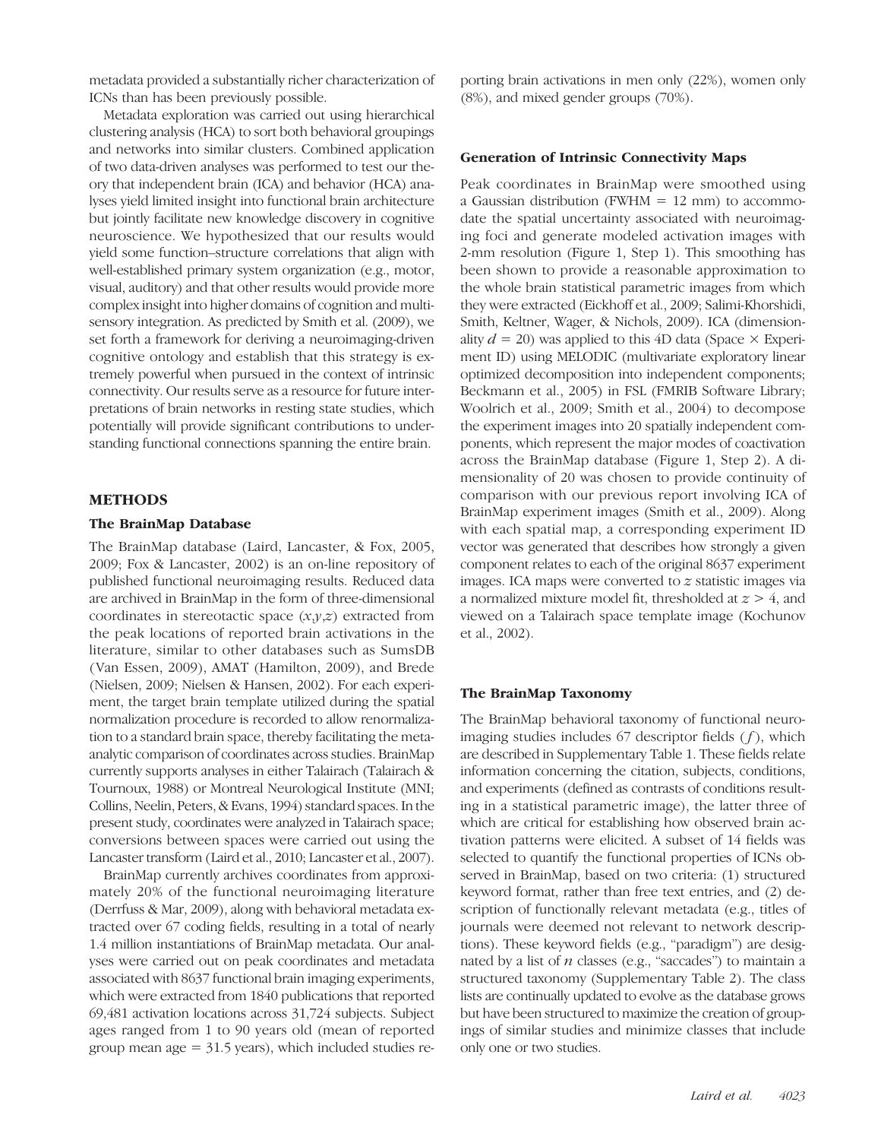metadata provided a substantially richer characterization of ICNs than has been previously possible.

Metadata exploration was carried out using hierarchical clustering analysis (HCA) to sort both behavioral groupings and networks into similar clusters. Combined application of two data-driven analyses was performed to test our theory that independent brain (ICA) and behavior (HCA) analyses yield limited insight into functional brain architecture but jointly facilitate new knowledge discovery in cognitive neuroscience. We hypothesized that our results would yield some function–structure correlations that align with well-established primary system organization (e.g., motor, visual, auditory) and that other results would provide more complex insight into higher domains of cognition and multisensory integration. As predicted by Smith et al. (2009), we set forth a framework for deriving a neuroimaging-driven cognitive ontology and establish that this strategy is extremely powerful when pursued in the context of intrinsic connectivity. Our results serve as a resource for future interpretations of brain networks in resting state studies, which potentially will provide significant contributions to understanding functional connections spanning the entire brain.

## METHODS

#### The BrainMap Database

The BrainMap database (Laird, Lancaster, & Fox, 2005, 2009; Fox & Lancaster, 2002) is an on-line repository of published functional neuroimaging results. Reduced data are archived in BrainMap in the form of three-dimensional coordinates in stereotactic space  $(x, y, z)$  extracted from the peak locations of reported brain activations in the literature, similar to other databases such as SumsDB (Van Essen, 2009), AMAT (Hamilton, 2009), and Brede (Nielsen, 2009; Nielsen & Hansen, 2002). For each experiment, the target brain template utilized during the spatial normalization procedure is recorded to allow renormalization to a standard brain space, thereby facilitating the metaanalytic comparison of coordinates across studies. BrainMap currently supports analyses in either Talairach (Talairach & Tournoux, 1988) or Montreal Neurological Institute (MNI; Collins, Neelin, Peters, & Evans, 1994) standard spaces. In the present study, coordinates were analyzed in Talairach space; conversions between spaces were carried out using the Lancaster transform (Laird et al., 2010; Lancaster et al., 2007).

BrainMap currently archives coordinates from approximately 20% of the functional neuroimaging literature (Derrfuss & Mar, 2009), along with behavioral metadata extracted over 67 coding fields, resulting in a total of nearly 1.4 million instantiations of BrainMap metadata. Our analyses were carried out on peak coordinates and metadata associated with 8637 functional brain imaging experiments, which were extracted from 1840 publications that reported 69,481 activation locations across 31,724 subjects. Subject ages ranged from 1 to 90 years old (mean of reported group mean  $\text{age} = 31.5 \text{ years}$ , which included studies reporting brain activations in men only (22%), women only (8%), and mixed gender groups (70%).

#### Generation of Intrinsic Connectivity Maps

Peak coordinates in BrainMap were smoothed using a Gaussian distribution (FWHM  $= 12$  mm) to accommodate the spatial uncertainty associated with neuroimaging foci and generate modeled activation images with 2-mm resolution (Figure 1, Step 1). This smoothing has been shown to provide a reasonable approximation to the whole brain statistical parametric images from which they were extracted (Eickhoff et al., 2009; Salimi-Khorshidi, Smith, Keltner, Wager, & Nichols, 2009). ICA (dimensionality  $d = 20$ ) was applied to this 4D data (Space  $\times$  Experiment ID) using MELODIC (multivariate exploratory linear optimized decomposition into independent components; Beckmann et al., 2005) in FSL (FMRIB Software Library; Woolrich et al., 2009; Smith et al., 2004) to decompose the experiment images into 20 spatially independent components, which represent the major modes of coactivation across the BrainMap database (Figure 1, Step 2). A dimensionality of 20 was chosen to provide continuity of comparison with our previous report involving ICA of BrainMap experiment images (Smith et al., 2009). Along with each spatial map, a corresponding experiment ID vector was generated that describes how strongly a given component relates to each of the original 8637 experiment images. ICA maps were converted to z statistic images via a normalized mixture model fit, thresholded at  $z > 4$ , and viewed on a Talairach space template image (Kochunov et al., 2002).

## The BrainMap Taxonomy

The BrainMap behavioral taxonomy of functional neuroimaging studies includes 67 descriptor fields  $(f)$ , which are described in Supplementary Table 1. These fields relate information concerning the citation, subjects, conditions, and experiments (defined as contrasts of conditions resulting in a statistical parametric image), the latter three of which are critical for establishing how observed brain activation patterns were elicited. A subset of 14 fields was selected to quantify the functional properties of ICNs observed in BrainMap, based on two criteria: (1) structured keyword format, rather than free text entries, and (2) description of functionally relevant metadata (e.g., titles of journals were deemed not relevant to network descriptions). These keyword fields (e.g., "paradigm") are designated by a list of  $n$  classes (e.g., "saccades") to maintain a structured taxonomy (Supplementary Table 2). The class lists are continually updated to evolve as the database grows but have been structured to maximize the creation of groupings of similar studies and minimize classes that include only one or two studies.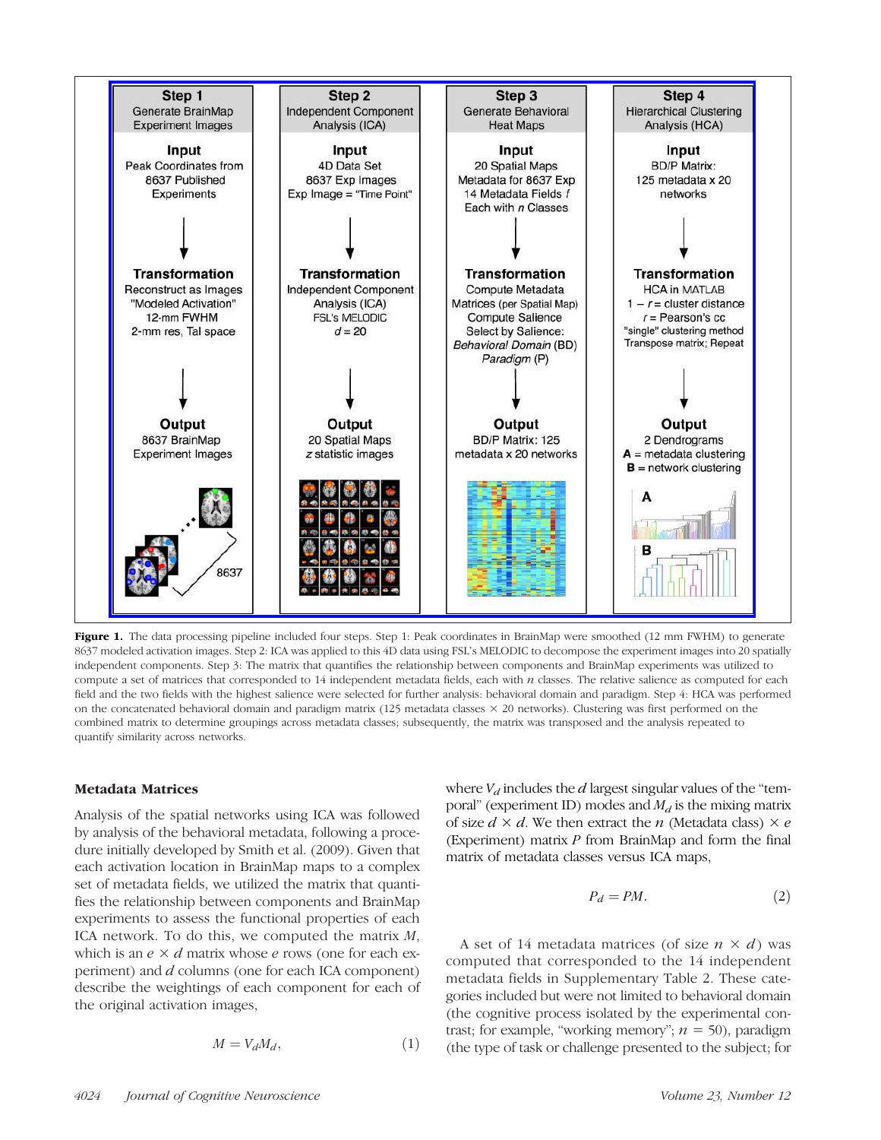

Figure 1. The data processing pipeline included four steps. Step 1: Peak coordinates in BrainMap were smoothed (12 mm FWHM) to generate 8637 modeled activation images. Step 2: ICA was applied to this 4D data using FSL's MELODIC to decompose the experiment images into 20 spatially independent components. Step 3: The matrix that quantifies the relationship between components and BrainMap experiments was utilized to compute a set of matrices that corresponded to 14 independent metadata fields, each with  $n$  classes. The relative salience as computed for each field and the two fields with the highest salience were selected for further analysis: behavioral domain and paradigm. Step 4: HCA was performed on the concatenated behavioral domain and paradigm matrix (125 metadata classes × 20 networks). Clustering was first performed on the combined matrix to determine groupings across metadata classes; subsequently, the matrix was transposed and the analysis repeated to quantify similarity across networks.

#### Metadata Matrices

Analysis of the spatial networks using ICA was followed by analysis of the behavioral metadata, following a procedure initially developed by Smith et al. (2009). Given that each activation location in BrainMap maps to a complex set of metadata fields, we utilized the matrix that quantifies the relationship between components and BrainMap experiments to assess the functional properties of each ICA network. To do this, we computed the matrix M, which is an  $e \times d$  matrix whose e rows (one for each experiment) and d columns (one for each ICA component) describe the weightings of each component for each of the original activation images,

$$
M = V_d M_d,\tag{1}
$$

where  $V_d$  includes the  $d$  largest singular values of the "temporal" (experiment ID) modes and  $M_d$  is the mixing matrix of size  $d \times d$ . We then extract the *n* (Metadata class)  $\times e$ (Experiment) matrix  $P$  from BrainMap and form the final matrix of metadata classes versus ICA maps,

$$
P_d = PM.\tag{2}
$$

A set of 14 metadata matrices (of size  $n \times d$ ) was computed that corresponded to the 14 independent metadata fields in Supplementary Table 2. These categories included but were not limited to behavioral domain (the cognitive process isolated by the experimental contrast; for example, "working memory";  $n = 50$ ), paradigm (the type of task or challenge presented to the subject; for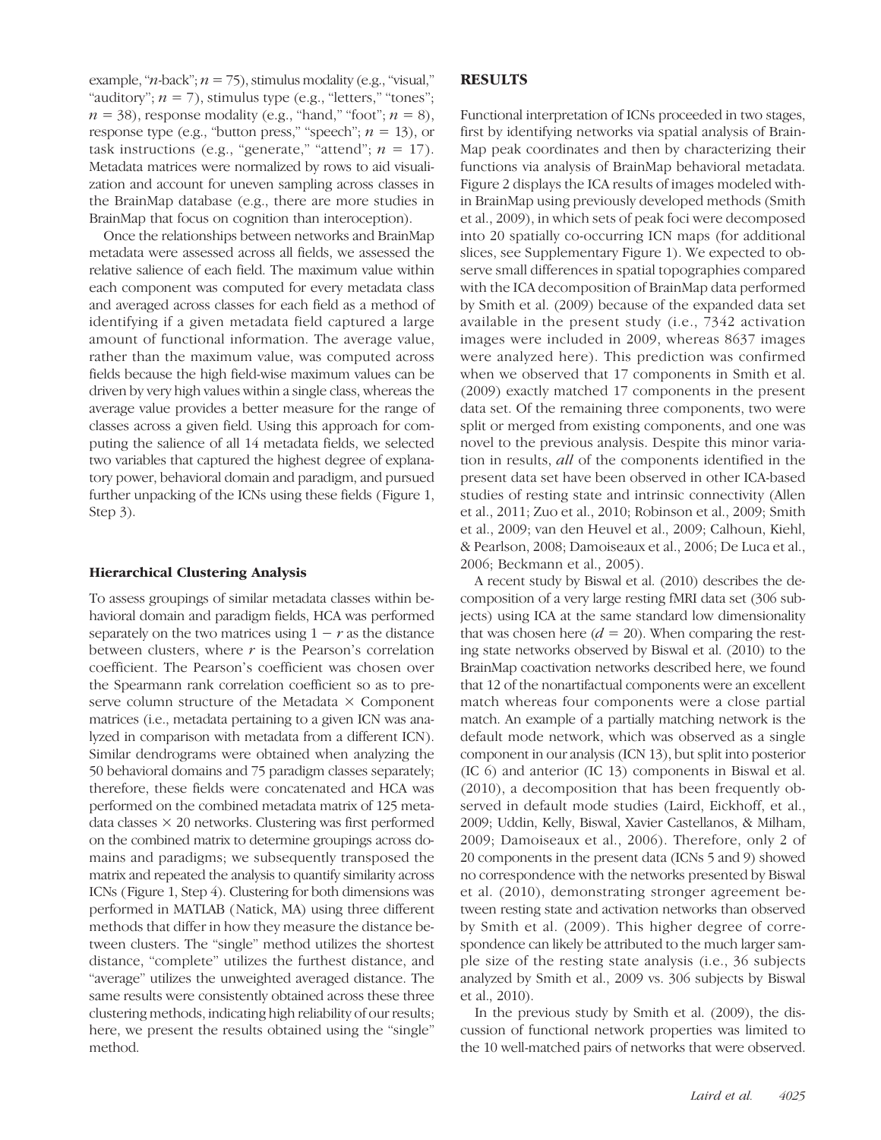example, "*n*-back";  $n = 75$ ), stimulus modality (e.g., "visual," "auditory";  $n = 7$ ), stimulus type (e.g., "letters," "tones";  $n = 38$ , response modality (e.g., "hand," "foot";  $n = 8$ ), response type (e.g., "button press," "speech";  $n = 13$ ), or task instructions (e.g., "generate," "attend";  $n = 17$ ). Metadata matrices were normalized by rows to aid visualization and account for uneven sampling across classes in the BrainMap database (e.g., there are more studies in BrainMap that focus on cognition than interoception).

Once the relationships between networks and BrainMap metadata were assessed across all fields, we assessed the relative salience of each field. The maximum value within each component was computed for every metadata class and averaged across classes for each field as a method of identifying if a given metadata field captured a large amount of functional information. The average value, rather than the maximum value, was computed across fields because the high field-wise maximum values can be driven by very high values within a single class, whereas the average value provides a better measure for the range of classes across a given field. Using this approach for computing the salience of all 14 metadata fields, we selected two variables that captured the highest degree of explanatory power, behavioral domain and paradigm, and pursued further unpacking of the ICNs using these fields (Figure 1, Step 3).

## Hierarchical Clustering Analysis

To assess groupings of similar metadata classes within behavioral domain and paradigm fields, HCA was performed separately on the two matrices using  $1 - r$  as the distance between clusters, where  $r$  is the Pearson's correlation coefficient. The Pearson's coefficient was chosen over the Spearmann rank correlation coefficient so as to preserve column structure of the Metadata  $\times$  Component matrices (i.e., metadata pertaining to a given ICN was analyzed in comparison with metadata from a different ICN). Similar dendrograms were obtained when analyzing the 50 behavioral domains and 75 paradigm classes separately; therefore, these fields were concatenated and HCA was performed on the combined metadata matrix of 125 metadata classes  $\times$  20 networks. Clustering was first performed on the combined matrix to determine groupings across domains and paradigms; we subsequently transposed the matrix and repeated the analysis to quantify similarity across ICNs (Figure 1, Step 4). Clustering for both dimensions was performed in MATLAB (Natick, MA) using three different methods that differ in how they measure the distance between clusters. The "single" method utilizes the shortest distance, "complete" utilizes the furthest distance, and "average" utilizes the unweighted averaged distance. The same results were consistently obtained across these three clustering methods, indicating high reliability of our results; here, we present the results obtained using the "single" method.

# **RESULTS**

Functional interpretation of ICNs proceeded in two stages, first by identifying networks via spatial analysis of Brain-Map peak coordinates and then by characterizing their functions via analysis of BrainMap behavioral metadata. Figure 2 displays the ICA results of images modeled within BrainMap using previously developed methods (Smith et al., 2009), in which sets of peak foci were decomposed into 20 spatially co-occurring ICN maps (for additional slices, see Supplementary Figure 1). We expected to observe small differences in spatial topographies compared with the ICA decomposition of BrainMap data performed by Smith et al. (2009) because of the expanded data set available in the present study (i.e., 7342 activation images were included in 2009, whereas 8637 images were analyzed here). This prediction was confirmed when we observed that 17 components in Smith et al. (2009) exactly matched 17 components in the present data set. Of the remaining three components, two were split or merged from existing components, and one was novel to the previous analysis. Despite this minor variation in results, all of the components identified in the present data set have been observed in other ICA-based studies of resting state and intrinsic connectivity (Allen et al., 2011; Zuo et al., 2010; Robinson et al., 2009; Smith et al., 2009; van den Heuvel et al., 2009; Calhoun, Kiehl, & Pearlson, 2008; Damoiseaux et al., 2006; De Luca et al., 2006; Beckmann et al., 2005).

A recent study by Biswal et al. (2010) describes the decomposition of a very large resting fMRI data set (306 subjects) using ICA at the same standard low dimensionality that was chosen here  $(d = 20)$ . When comparing the resting state networks observed by Biswal et al. (2010) to the BrainMap coactivation networks described here, we found that 12 of the nonartifactual components were an excellent match whereas four components were a close partial match. An example of a partially matching network is the default mode network, which was observed as a single component in our analysis (ICN 13), but split into posterior (IC 6) and anterior (IC 13) components in Biswal et al. (2010), a decomposition that has been frequently observed in default mode studies (Laird, Eickhoff, et al., 2009; Uddin, Kelly, Biswal, Xavier Castellanos, & Milham, 2009; Damoiseaux et al., 2006). Therefore, only 2 of 20 components in the present data (ICNs 5 and 9) showed no correspondence with the networks presented by Biswal et al. (2010), demonstrating stronger agreement between resting state and activation networks than observed by Smith et al. (2009). This higher degree of correspondence can likely be attributed to the much larger sample size of the resting state analysis (i.e., 36 subjects analyzed by Smith et al., 2009 vs. 306 subjects by Biswal et al., 2010).

In the previous study by Smith et al. (2009), the discussion of functional network properties was limited to the 10 well-matched pairs of networks that were observed.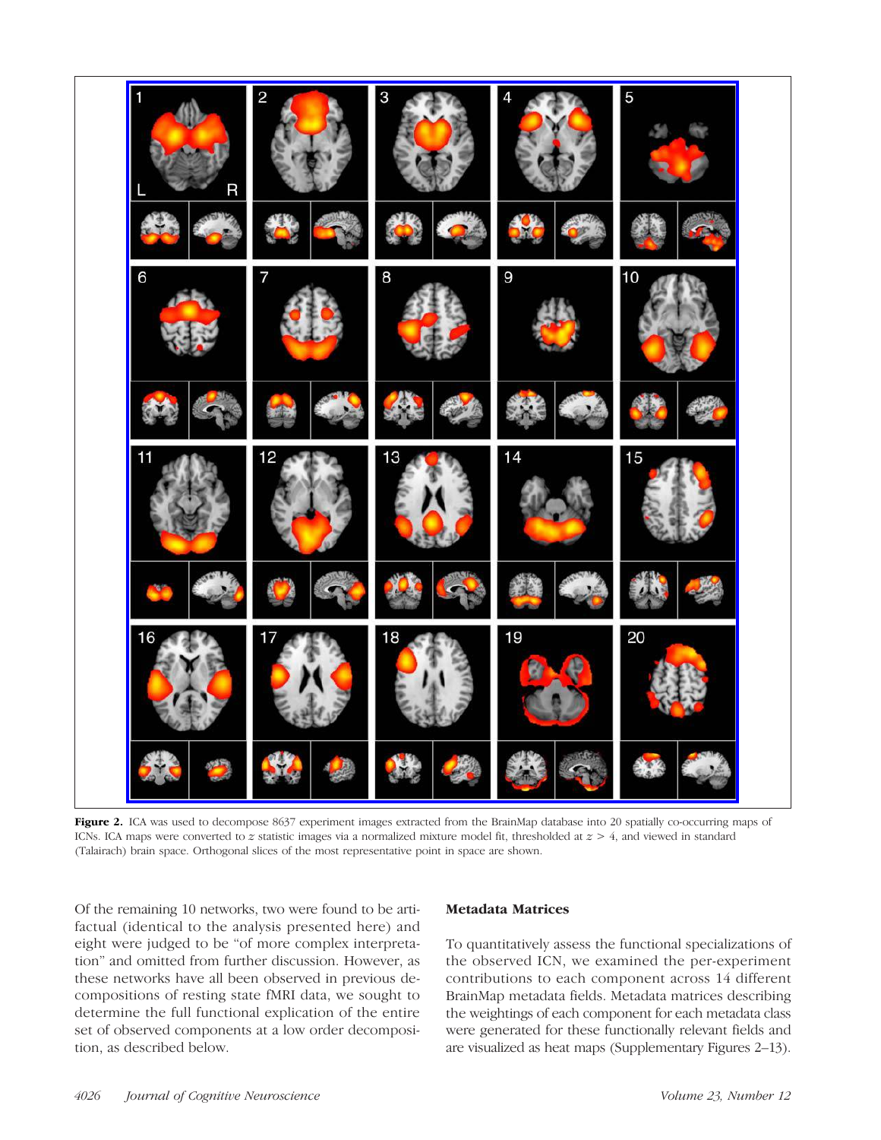

Figure 2. ICA was used to decompose 8637 experiment images extracted from the BrainMap database into 20 spatially co-occurring maps of ICNs. ICA maps were converted to z statistic images via a normalized mixture model fit, thresholded at  $z > 4$ , and viewed in standard (Talairach) brain space. Orthogonal slices of the most representative point in space are shown.

Of the remaining 10 networks, two were found to be artifactual (identical to the analysis presented here) and eight were judged to be "of more complex interpretation" and omitted from further discussion. However, as these networks have all been observed in previous decompositions of resting state fMRI data, we sought to determine the full functional explication of the entire set of observed components at a low order decomposition, as described below.

#### Metadata Matrices

To quantitatively assess the functional specializations of the observed ICN, we examined the per-experiment contributions to each component across 14 different BrainMap metadata fields. Metadata matrices describing the weightings of each component for each metadata class were generated for these functionally relevant fields and are visualized as heat maps (Supplementary Figures 2–13).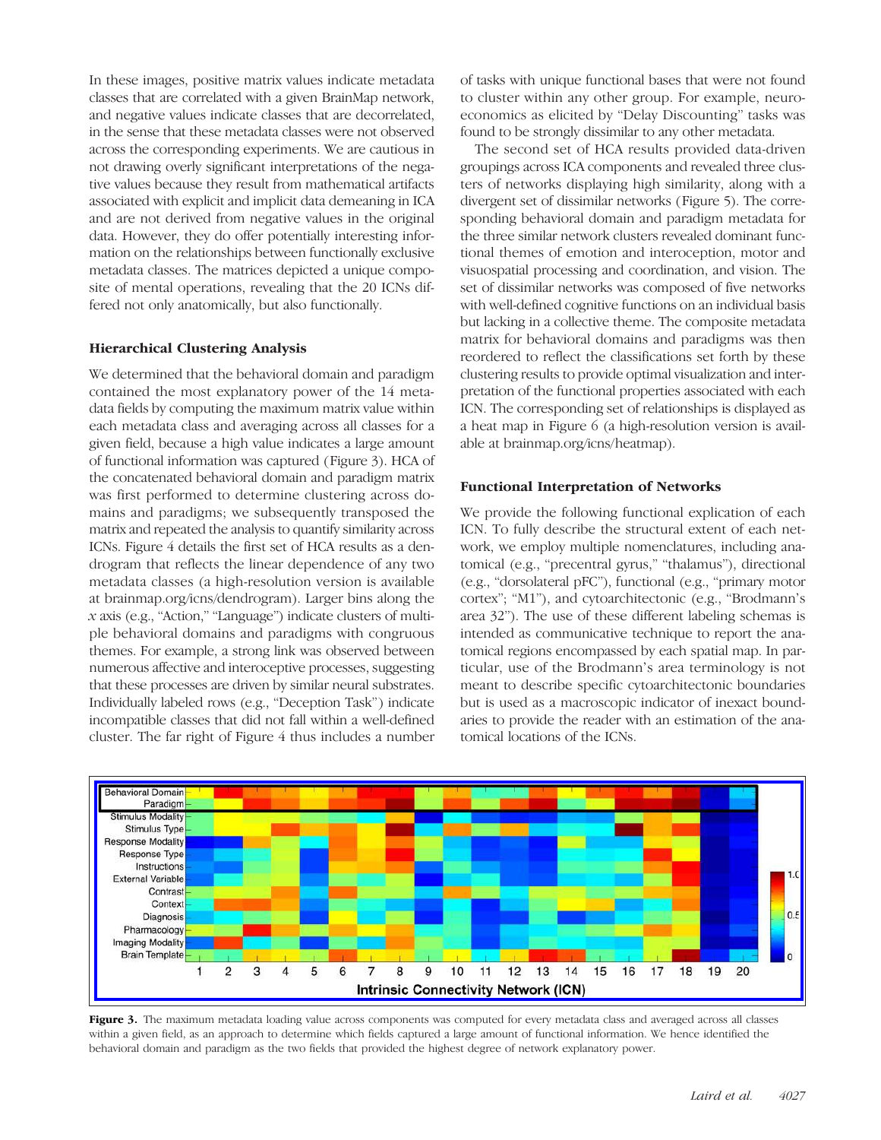In these images, positive matrix values indicate metadata classes that are correlated with a given BrainMap network, and negative values indicate classes that are decorrelated, in the sense that these metadata classes were not observed across the corresponding experiments. We are cautious in not drawing overly significant interpretations of the negative values because they result from mathematical artifacts associated with explicit and implicit data demeaning in ICA and are not derived from negative values in the original data. However, they do offer potentially interesting information on the relationships between functionally exclusive metadata classes. The matrices depicted a unique composite of mental operations, revealing that the 20 ICNs differed not only anatomically, but also functionally.

# Hierarchical Clustering Analysis

We determined that the behavioral domain and paradigm contained the most explanatory power of the 14 metadata fields by computing the maximum matrix value within each metadata class and averaging across all classes for a given field, because a high value indicates a large amount of functional information was captured (Figure 3). HCA of the concatenated behavioral domain and paradigm matrix was first performed to determine clustering across domains and paradigms; we subsequently transposed the matrix and repeated the analysis to quantify similarity across ICNs. Figure 4 details the first set of HCA results as a dendrogram that reflects the linear dependence of any two metadata classes (a high-resolution version is available at brainmap.org/icns/dendrogram). Larger bins along the x axis (e.g., "Action," "Language") indicate clusters of multiple behavioral domains and paradigms with congruous themes. For example, a strong link was observed between numerous affective and interoceptive processes, suggesting that these processes are driven by similar neural substrates. Individually labeled rows (e.g., "Deception Task") indicate incompatible classes that did not fall within a well-defined cluster. The far right of Figure 4 thus includes a number

of tasks with unique functional bases that were not found to cluster within any other group. For example, neuroeconomics as elicited by "Delay Discounting" tasks was found to be strongly dissimilar to any other metadata.

The second set of HCA results provided data-driven groupings across ICA components and revealed three clusters of networks displaying high similarity, along with a divergent set of dissimilar networks (Figure 5). The corresponding behavioral domain and paradigm metadata for the three similar network clusters revealed dominant functional themes of emotion and interoception, motor and visuospatial processing and coordination, and vision. The set of dissimilar networks was composed of five networks with well-defined cognitive functions on an individual basis but lacking in a collective theme. The composite metadata matrix for behavioral domains and paradigms was then reordered to reflect the classifications set forth by these clustering results to provide optimal visualization and interpretation of the functional properties associated with each ICN. The corresponding set of relationships is displayed as a heat map in Figure 6 (a high-resolution version is available at brainmap.org/icns/heatmap).

## Functional Interpretation of Networks

We provide the following functional explication of each ICN. To fully describe the structural extent of each network, we employ multiple nomenclatures, including anatomical (e.g., "precentral gyrus," "thalamus"), directional (e.g., "dorsolateral pFC"), functional (e.g., "primary motor cortex"; "M1"), and cytoarchitectonic (e.g., "Brodmann's area 32"). The use of these different labeling schemas is intended as communicative technique to report the anatomical regions encompassed by each spatial map. In particular, use of the Brodmann's area terminology is not meant to describe specific cytoarchitectonic boundaries but is used as a macroscopic indicator of inexact boundaries to provide the reader with an estimation of the anatomical locations of the ICNs.



Figure 3. The maximum metadata loading value across components was computed for every metadata class and averaged across all classes within a given field, as an approach to determine which fields captured a large amount of functional information. We hence identified the behavioral domain and paradigm as the two fields that provided the highest degree of network explanatory power.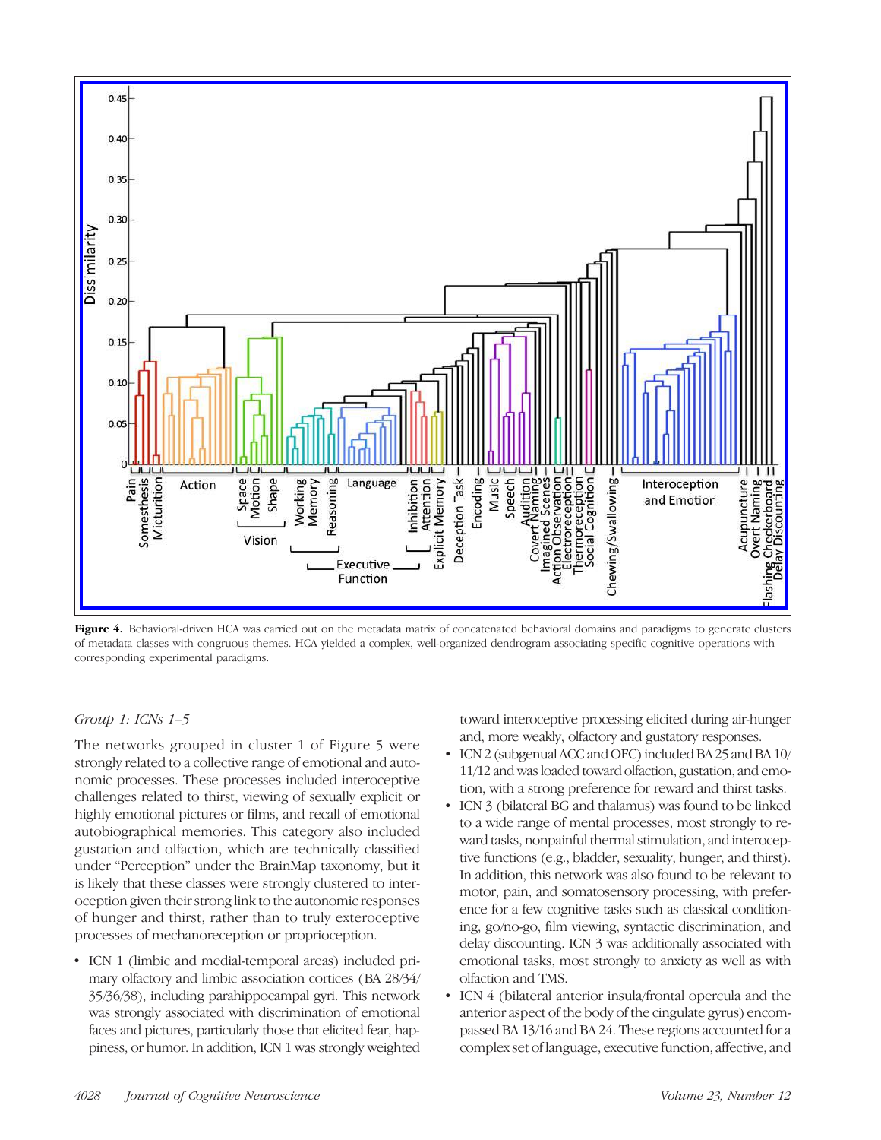

Figure 4. Behavioral-driven HCA was carried out on the metadata matrix of concatenated behavioral domains and paradigms to generate clusters of metadata classes with congruous themes. HCA yielded a complex, well-organized dendrogram associating specific cognitive operations with corresponding experimental paradigms.

## Group 1: ICNs 1–5

The networks grouped in cluster 1 of Figure 5 were strongly related to a collective range of emotional and autonomic processes. These processes included interoceptive challenges related to thirst, viewing of sexually explicit or highly emotional pictures or films, and recall of emotional autobiographical memories. This category also included gustation and olfaction, which are technically classified under "Perception" under the BrainMap taxonomy, but it is likely that these classes were strongly clustered to interoception given their strong link to the autonomic responses of hunger and thirst, rather than to truly exteroceptive processes of mechanoreception or proprioception.

• ICN 1 (limbic and medial-temporal areas) included primary olfactory and limbic association cortices (BA 28/34/ 35/36/38), including parahippocampal gyri. This network was strongly associated with discrimination of emotional faces and pictures, particularly those that elicited fear, happiness, or humor. In addition, ICN 1 was strongly weighted

toward interoceptive processing elicited during air-hunger and, more weakly, olfactory and gustatory responses.

- ICN 2 (subgenual ACC and OFC) included BA 25 and BA 10/ 11/12 and was loaded toward olfaction, gustation, and emotion, with a strong preference for reward and thirst tasks.
- ICN 3 (bilateral BG and thalamus) was found to be linked to a wide range of mental processes, most strongly to reward tasks, nonpainful thermal stimulation, and interoceptive functions (e.g., bladder, sexuality, hunger, and thirst). In addition, this network was also found to be relevant to motor, pain, and somatosensory processing, with preference for a few cognitive tasks such as classical conditioning, go/no-go, film viewing, syntactic discrimination, and delay discounting. ICN 3 was additionally associated with emotional tasks, most strongly to anxiety as well as with olfaction and TMS.
- ICN 4 (bilateral anterior insula/frontal opercula and the anterior aspect of the body of the cingulate gyrus) encompassed BA 13/16 and BA 24. These regions accounted for a complex set of language, executive function, affective, and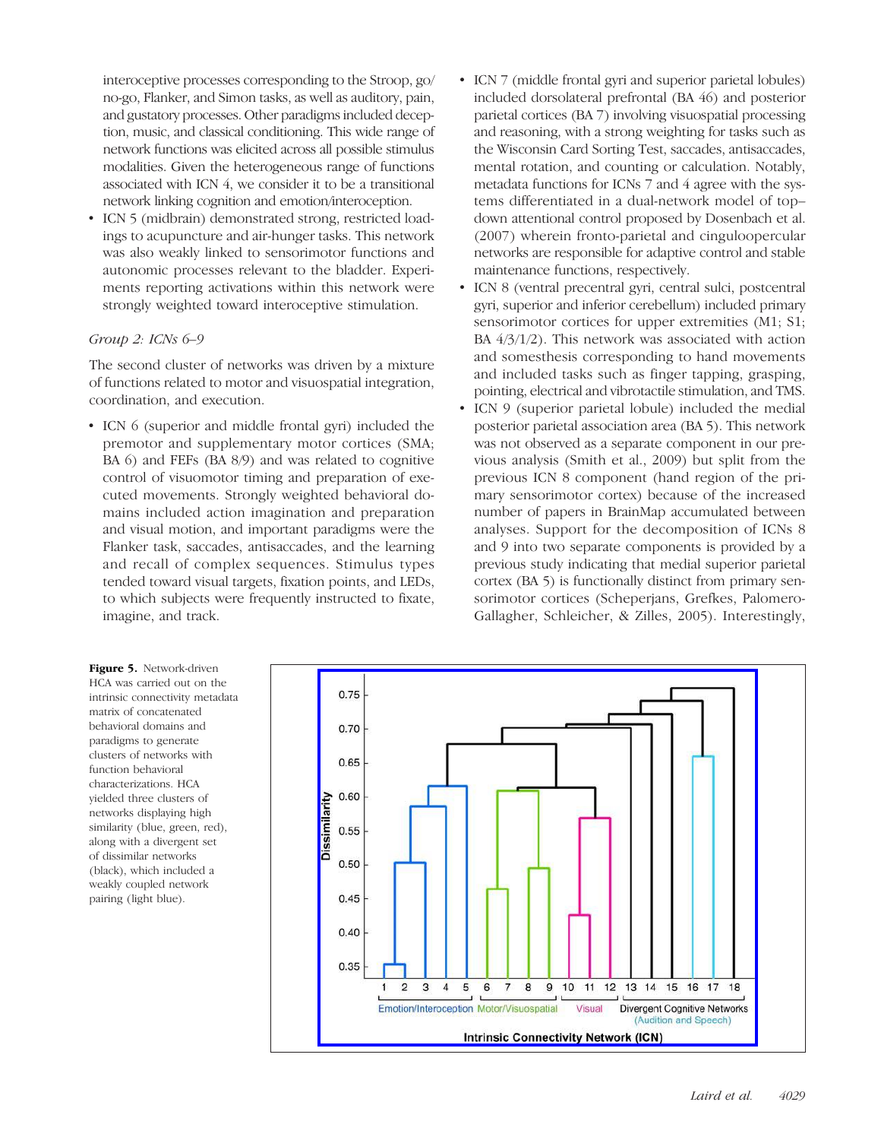interoceptive processes corresponding to the Stroop, go/ no-go, Flanker, and Simon tasks, as well as auditory, pain, and gustatory processes. Other paradigms included deception, music, and classical conditioning. This wide range of network functions was elicited across all possible stimulus modalities. Given the heterogeneous range of functions associated with ICN 4, we consider it to be a transitional network linking cognition and emotion/interoception.

• ICN 5 (midbrain) demonstrated strong, restricted loadings to acupuncture and air-hunger tasks. This network was also weakly linked to sensorimotor functions and autonomic processes relevant to the bladder. Experiments reporting activations within this network were strongly weighted toward interoceptive stimulation.

# Group 2: ICNs 6-9

The second cluster of networks was driven by a mixture of functions related to motor and visuospatial integration, coordination, and execution.

• ICN 6 (superior and middle frontal gyri) included the premotor and supplementary motor cortices (SMA; BA 6) and FEFs (BA 8/9) and was related to cognitive control of visuomotor timing and preparation of executed movements. Strongly weighted behavioral domains included action imagination and preparation and visual motion, and important paradigms were the Flanker task, saccades, antisaccades, and the learning and recall of complex sequences. Stimulus types tended toward visual targets, fixation points, and LEDs, to which subjects were frequently instructed to fixate, imagine, and track.

- ICN 7 (middle frontal gyri and superior parietal lobules) included dorsolateral prefrontal (BA 46) and posterior parietal cortices (BA 7) involving visuospatial processing and reasoning, with a strong weighting for tasks such as the Wisconsin Card Sorting Test, saccades, antisaccades, mental rotation, and counting or calculation. Notably, metadata functions for ICNs 7 and 4 agree with the systems differentiated in a dual-network model of top– down attentional control proposed by Dosenbach et al. (2007) wherein fronto-parietal and cinguloopercular networks are responsible for adaptive control and stable maintenance functions, respectively.
- ICN 8 (ventral precentral gyri, central sulci, postcentral gyri, superior and inferior cerebellum) included primary sensorimotor cortices for upper extremities (M1; S1; BA 4/3/1/2). This network was associated with action and somesthesis corresponding to hand movements and included tasks such as finger tapping, grasping, pointing, electrical and vibrotactile stimulation, and TMS.
- ICN 9 (superior parietal lobule) included the medial posterior parietal association area (BA 5). This network was not observed as a separate component in our previous analysis (Smith et al., 2009) but split from the previous ICN 8 component (hand region of the primary sensorimotor cortex) because of the increased number of papers in BrainMap accumulated between analyses. Support for the decomposition of ICNs 8 and 9 into two separate components is provided by a previous study indicating that medial superior parietal cortex (BA 5) is functionally distinct from primary sensorimotor cortices (Scheperjans, Grefkes, Palomero-Gallagher, Schleicher, & Zilles, 2005). Interestingly,

Figure 5. Network-driven HCA was carried out on the intrinsic connectivity metadata matrix of concatenated behavioral domains and paradigms to generate clusters of networks with function behavioral characterizations. HCA yielded three clusters of networks displaying high similarity (blue, green, red), along with a divergent set of dissimilar networks (black), which included a weakly coupled network pairing (light blue).

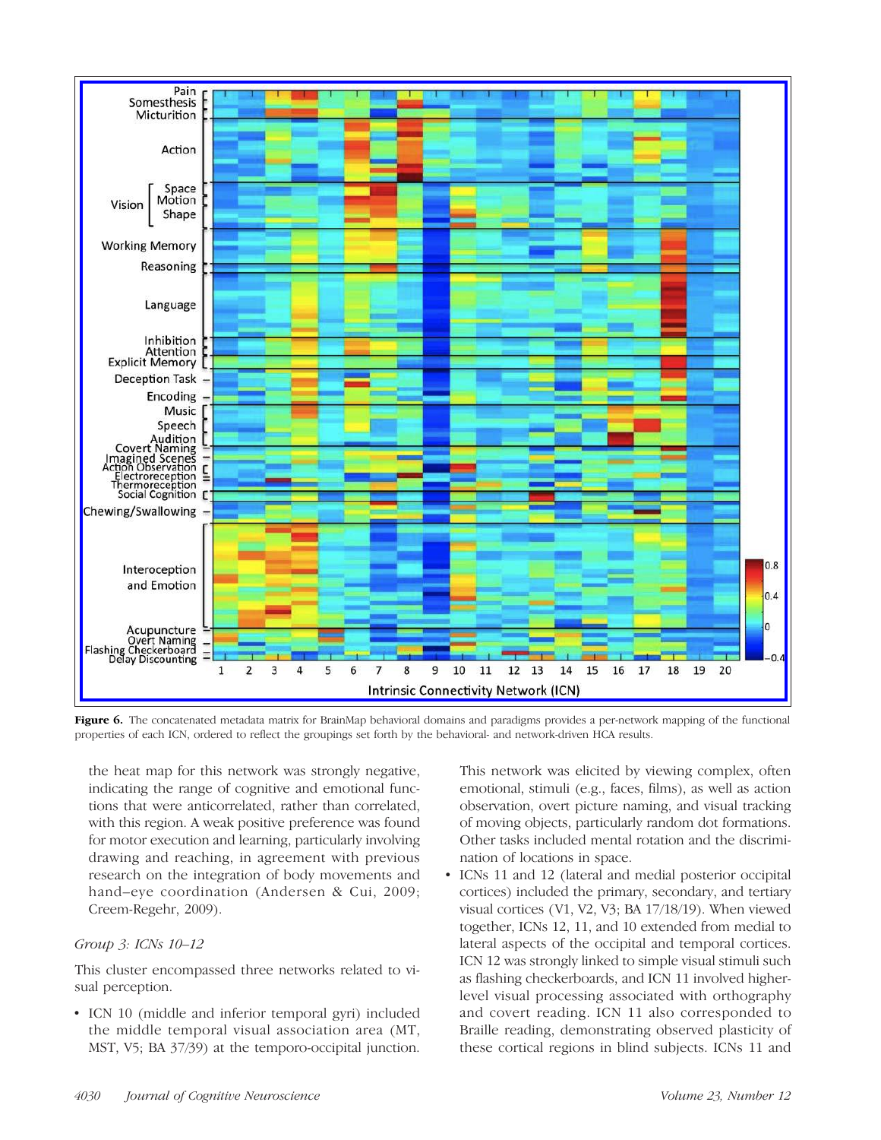

Figure 6. The concatenated metadata matrix for BrainMap behavioral domains and paradigms provides a per-network mapping of the functional properties of each ICN, ordered to reflect the groupings set forth by the behavioral- and network-driven HCA results.

the heat map for this network was strongly negative, indicating the range of cognitive and emotional functions that were anticorrelated, rather than correlated, with this region. A weak positive preference was found for motor execution and learning, particularly involving drawing and reaching, in agreement with previous research on the integration of body movements and hand–eye coordination (Andersen & Cui, 2009; Creem-Regehr, 2009).

# Group 3: ICNs 10–12

This cluster encompassed three networks related to visual perception.

• ICN 10 (middle and inferior temporal gyri) included the middle temporal visual association area (MT, MST, V5; BA 37/39) at the temporo-occipital junction.

This network was elicited by viewing complex, often emotional, stimuli (e.g., faces, films), as well as action observation, overt picture naming, and visual tracking of moving objects, particularly random dot formations. Other tasks included mental rotation and the discrimination of locations in space.

• ICNs 11 and 12 (lateral and medial posterior occipital cortices) included the primary, secondary, and tertiary visual cortices (V1, V2, V3; BA 17/18/19). When viewed together, ICNs 12, 11, and 10 extended from medial to lateral aspects of the occipital and temporal cortices. ICN 12 was strongly linked to simple visual stimuli such as flashing checkerboards, and ICN 11 involved higherlevel visual processing associated with orthography and covert reading. ICN 11 also corresponded to Braille reading, demonstrating observed plasticity of these cortical regions in blind subjects. ICNs 11 and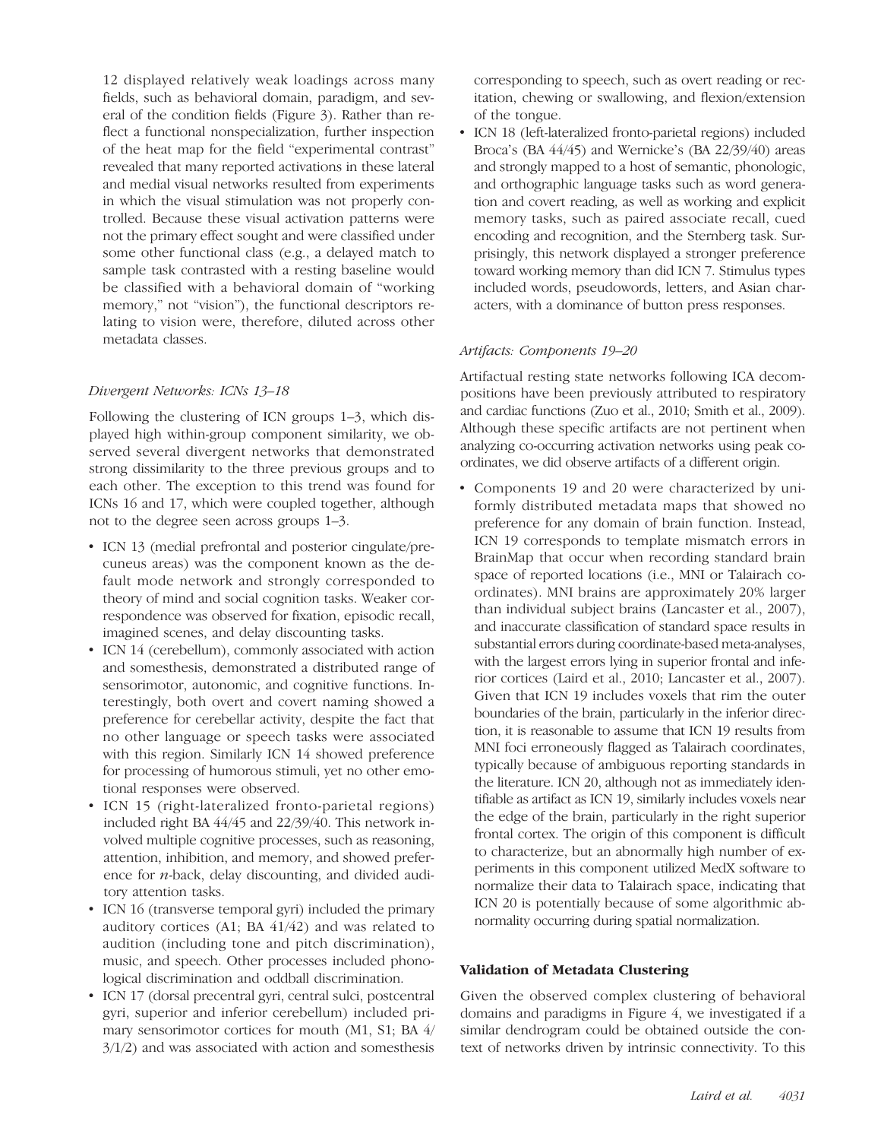12 displayed relatively weak loadings across many fields, such as behavioral domain, paradigm, and several of the condition fields (Figure 3). Rather than reflect a functional nonspecialization, further inspection of the heat map for the field "experimental contrast" revealed that many reported activations in these lateral and medial visual networks resulted from experiments in which the visual stimulation was not properly controlled. Because these visual activation patterns were not the primary effect sought and were classified under some other functional class (e.g., a delayed match to sample task contrasted with a resting baseline would be classified with a behavioral domain of "working memory," not "vision"), the functional descriptors relating to vision were, therefore, diluted across other metadata classes.

# Divergent Networks: ICNs 13–18

Following the clustering of ICN groups 1–3, which displayed high within-group component similarity, we observed several divergent networks that demonstrated strong dissimilarity to the three previous groups and to each other. The exception to this trend was found for ICNs 16 and 17, which were coupled together, although not to the degree seen across groups 1–3.

- ICN 13 (medial prefrontal and posterior cingulate/precuneus areas) was the component known as the default mode network and strongly corresponded to theory of mind and social cognition tasks. Weaker correspondence was observed for fixation, episodic recall, imagined scenes, and delay discounting tasks.
- ICN 14 (cerebellum), commonly associated with action and somesthesis, demonstrated a distributed range of sensorimotor, autonomic, and cognitive functions. Interestingly, both overt and covert naming showed a preference for cerebellar activity, despite the fact that no other language or speech tasks were associated with this region. Similarly ICN 14 showed preference for processing of humorous stimuli, yet no other emotional responses were observed.
- ICN 15 (right-lateralized fronto-parietal regions) included right BA 44/45 and 22/39/40. This network involved multiple cognitive processes, such as reasoning, attention, inhibition, and memory, and showed preference for n-back, delay discounting, and divided auditory attention tasks.
- ICN 16 (transverse temporal gyri) included the primary auditory cortices (A1; BA 41/42) and was related to audition (including tone and pitch discrimination), music, and speech. Other processes included phonological discrimination and oddball discrimination.
- ICN 17 (dorsal precentral gyri, central sulci, postcentral gyri, superior and inferior cerebellum) included primary sensorimotor cortices for mouth (M1, S1; BA 4/ 3/1/2) and was associated with action and somesthesis

corresponding to speech, such as overt reading or recitation, chewing or swallowing, and flexion/extension of the tongue.

• ICN 18 (left-lateralized fronto-parietal regions) included Broca's (BA 44/45) and Wernicke's (BA 22/39/40) areas and strongly mapped to a host of semantic, phonologic, and orthographic language tasks such as word generation and covert reading, as well as working and explicit memory tasks, such as paired associate recall, cued encoding and recognition, and the Sternberg task. Surprisingly, this network displayed a stronger preference toward working memory than did ICN 7. Stimulus types included words, pseudowords, letters, and Asian characters, with a dominance of button press responses.

# Artifacts: Components 19–20

Artifactual resting state networks following ICA decompositions have been previously attributed to respiratory and cardiac functions (Zuo et al., 2010; Smith et al., 2009). Although these specific artifacts are not pertinent when analyzing co-occurring activation networks using peak coordinates, we did observe artifacts of a different origin.

• Components 19 and 20 were characterized by uniformly distributed metadata maps that showed no preference for any domain of brain function. Instead, ICN 19 corresponds to template mismatch errors in BrainMap that occur when recording standard brain space of reported locations (i.e., MNI or Talairach coordinates). MNI brains are approximately 20% larger than individual subject brains (Lancaster et al., 2007), and inaccurate classification of standard space results in substantial errors during coordinate-based meta-analyses, with the largest errors lying in superior frontal and inferior cortices (Laird et al., 2010; Lancaster et al., 2007). Given that ICN 19 includes voxels that rim the outer boundaries of the brain, particularly in the inferior direction, it is reasonable to assume that ICN 19 results from MNI foci erroneously flagged as Talairach coordinates, typically because of ambiguous reporting standards in the literature. ICN 20, although not as immediately identifiable as artifact as ICN 19, similarly includes voxels near the edge of the brain, particularly in the right superior frontal cortex. The origin of this component is difficult to characterize, but an abnormally high number of experiments in this component utilized MedX software to normalize their data to Talairach space, indicating that ICN 20 is potentially because of some algorithmic abnormality occurring during spatial normalization.

# Validation of Metadata Clustering

Given the observed complex clustering of behavioral domains and paradigms in Figure 4, we investigated if a similar dendrogram could be obtained outside the context of networks driven by intrinsic connectivity. To this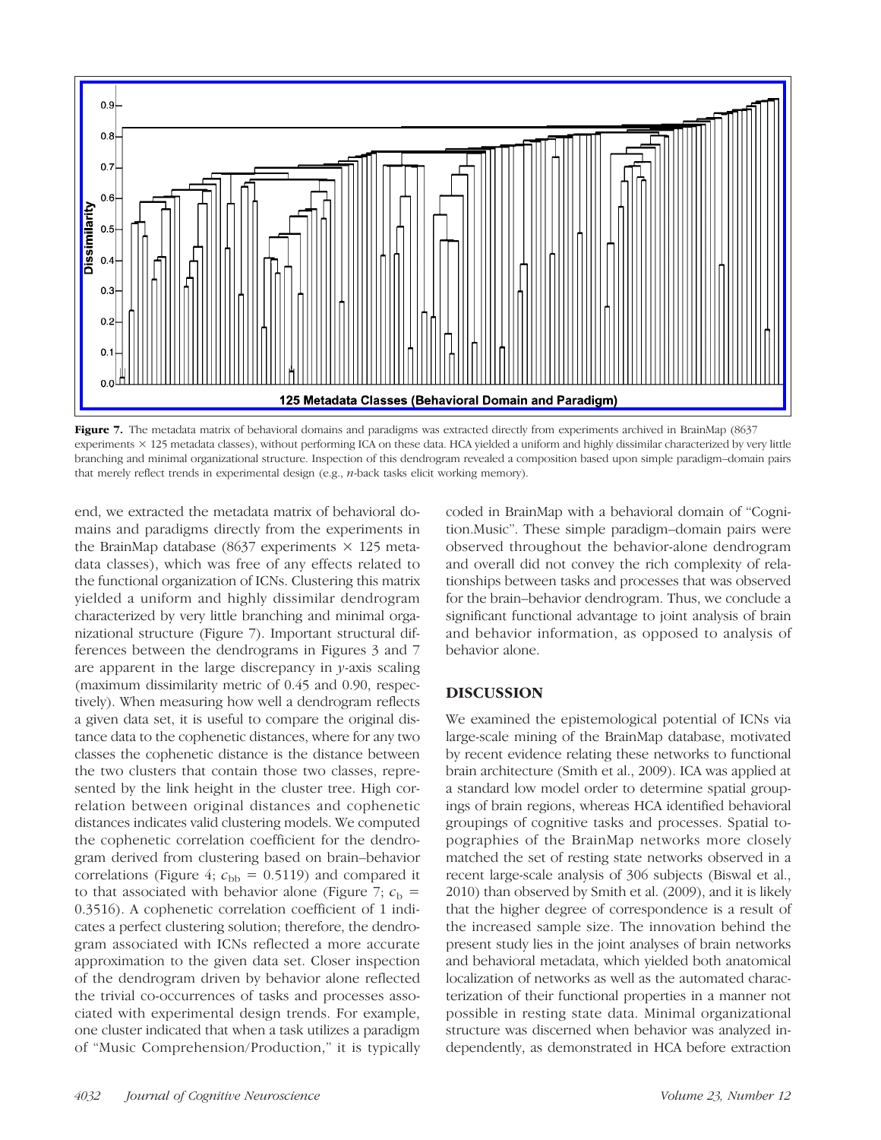

Figure 7. The metadata matrix of behavioral domains and paradigms was extracted directly from experiments archived in BrainMap (8637) experiments × 125 metadata classes), without performing ICA on these data. HCA yielded a uniform and highly dissimilar characterized by very little branching and minimal organizational structure. Inspection of this dendrogram revealed a composition based upon simple paradigm–domain pairs that merely reflect trends in experimental design (e.g., n-back tasks elicit working memory).

end, we extracted the metadata matrix of behavioral domains and paradigms directly from the experiments in the BrainMap database (8637 experiments  $\times$  125 metadata classes), which was free of any effects related to the functional organization of ICNs. Clustering this matrix yielded a uniform and highly dissimilar dendrogram characterized by very little branching and minimal organizational structure (Figure 7). Important structural differences between the dendrograms in Figures 3 and 7 are apparent in the large discrepancy in  $\nu$ -axis scaling (maximum dissimilarity metric of 0.45 and 0.90, respectively). When measuring how well a dendrogram reflects a given data set, it is useful to compare the original distance data to the cophenetic distances, where for any two classes the cophenetic distance is the distance between the two clusters that contain those two classes, represented by the link height in the cluster tree. High correlation between original distances and cophenetic distances indicates valid clustering models. We computed the cophenetic correlation coefficient for the dendrogram derived from clustering based on brain–behavior correlations (Figure 4;  $c_{\text{bb}} = 0.5119$ ) and compared it to that associated with behavior alone (Figure 7;  $c<sub>b</sub>$  = 0.3516). A cophenetic correlation coefficient of 1 indicates a perfect clustering solution; therefore, the dendrogram associated with ICNs reflected a more accurate approximation to the given data set. Closer inspection of the dendrogram driven by behavior alone reflected the trivial co-occurrences of tasks and processes associated with experimental design trends. For example, one cluster indicated that when a task utilizes a paradigm of "Music Comprehension/Production," it is typically

coded in BrainMap with a behavioral domain of "Cognition.Music". These simple paradigm–domain pairs were observed throughout the behavior-alone dendrogram and overall did not convey the rich complexity of relationships between tasks and processes that was observed for the brain–behavior dendrogram. Thus, we conclude a significant functional advantage to joint analysis of brain and behavior information, as opposed to analysis of behavior alone.

# DISCUSSION

We examined the epistemological potential of ICNs via large-scale mining of the BrainMap database, motivated by recent evidence relating these networks to functional brain architecture (Smith et al., 2009). ICA was applied at a standard low model order to determine spatial groupings of brain regions, whereas HCA identified behavioral groupings of cognitive tasks and processes. Spatial topographies of the BrainMap networks more closely matched the set of resting state networks observed in a recent large-scale analysis of 306 subjects (Biswal et al., 2010) than observed by Smith et al. (2009), and it is likely that the higher degree of correspondence is a result of the increased sample size. The innovation behind the present study lies in the joint analyses of brain networks and behavioral metadata, which yielded both anatomical localization of networks as well as the automated characterization of their functional properties in a manner not possible in resting state data. Minimal organizational structure was discerned when behavior was analyzed independently, as demonstrated in HCA before extraction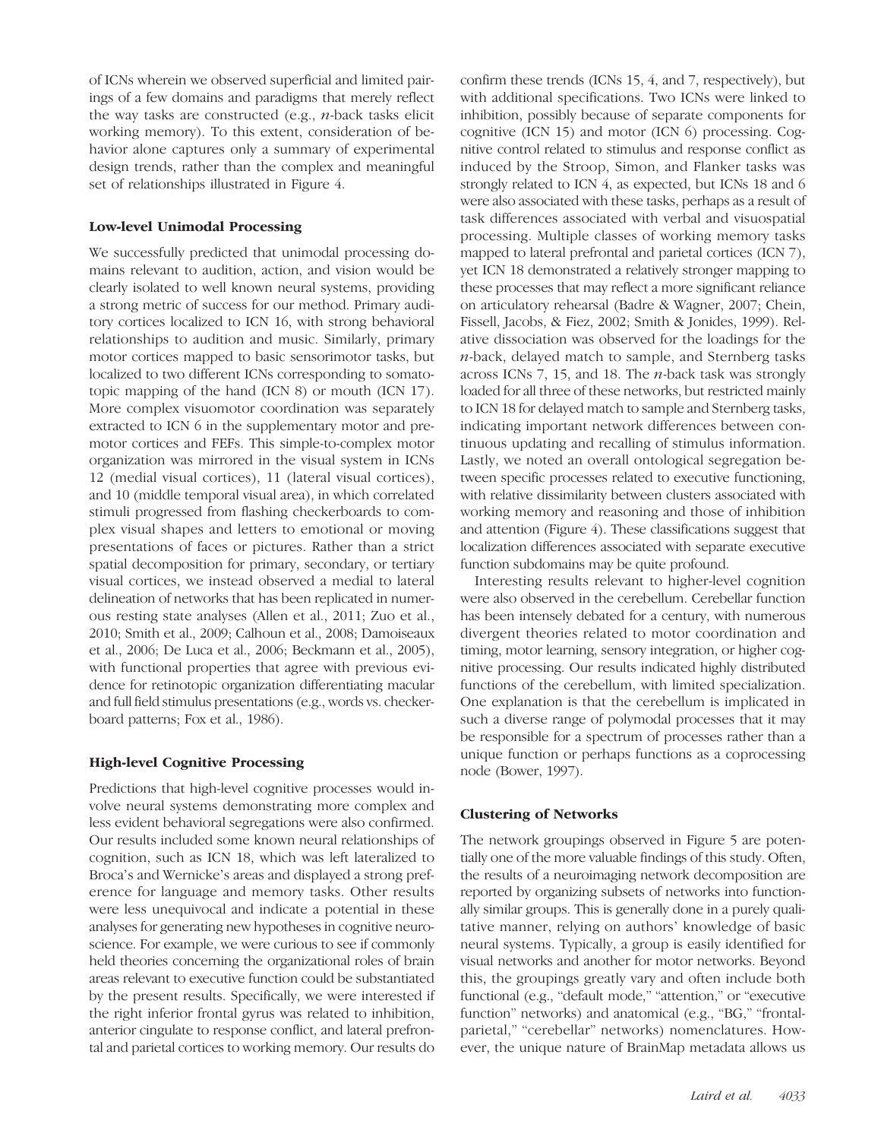of ICNs wherein we observed superficial and limited pairings of a few domains and paradigms that merely reflect the way tasks are constructed (e.g.,  $n$ -back tasks elicit working memory). To this extent, consideration of behavior alone captures only a summary of experimental design trends, rather than the complex and meaningful set of relationships illustrated in Figure 4.

# Low-level Unimodal Processing

We successfully predicted that unimodal processing domains relevant to audition, action, and vision would be clearly isolated to well known neural systems, providing a strong metric of success for our method. Primary auditory cortices localized to ICN 16, with strong behavioral relationships to audition and music. Similarly, primary motor cortices mapped to basic sensorimotor tasks, but localized to two different ICNs corresponding to somatotopic mapping of the hand (ICN 8) or mouth (ICN 17). More complex visuomotor coordination was separately extracted to ICN 6 in the supplementary motor and premotor cortices and FEFs. This simple-to-complex motor organization was mirrored in the visual system in ICNs 12 (medial visual cortices), 11 (lateral visual cortices), and 10 (middle temporal visual area), in which correlated stimuli progressed from flashing checkerboards to complex visual shapes and letters to emotional or moving presentations of faces or pictures. Rather than a strict spatial decomposition for primary, secondary, or tertiary visual cortices, we instead observed a medial to lateral delineation of networks that has been replicated in numerous resting state analyses (Allen et al., 2011; Zuo et al., 2010; Smith et al., 2009; Calhoun et al., 2008; Damoiseaux et al., 2006; De Luca et al., 2006; Beckmann et al., 2005), with functional properties that agree with previous evidence for retinotopic organization differentiating macular and full field stimulus presentations (e.g., words vs. checkerboard patterns; Fox et al., 1986).

# High-level Cognitive Processing

Predictions that high-level cognitive processes would involve neural systems demonstrating more complex and less evident behavioral segregations were also confirmed. Our results included some known neural relationships of cognition, such as ICN 18, which was left lateralized to Broca's and Wernicke's areas and displayed a strong preference for language and memory tasks. Other results were less unequivocal and indicate a potential in these analyses for generating new hypotheses in cognitive neuroscience. For example, we were curious to see if commonly held theories concerning the organizational roles of brain areas relevant to executive function could be substantiated by the present results. Specifically, we were interested if the right inferior frontal gyrus was related to inhibition, anterior cingulate to response conflict, and lateral prefrontal and parietal cortices to working memory. Our results do confirm these trends (ICNs 15, 4, and 7, respectively), but with additional specifications. Two ICNs were linked to inhibition, possibly because of separate components for cognitive (ICN 15) and motor (ICN 6) processing. Cognitive control related to stimulus and response conflict as induced by the Stroop, Simon, and Flanker tasks was strongly related to ICN 4, as expected, but ICNs 18 and 6 were also associated with these tasks, perhaps as a result of task differences associated with verbal and visuospatial processing. Multiple classes of working memory tasks mapped to lateral prefrontal and parietal cortices (ICN 7), yet ICN 18 demonstrated a relatively stronger mapping to these processes that may reflect a more significant reliance on articulatory rehearsal (Badre & Wagner, 2007; Chein, Fissell, Jacobs, & Fiez, 2002; Smith & Jonides, 1999). Relative dissociation was observed for the loadings for the n-back, delayed match to sample, and Sternberg tasks across ICNs 7, 15, and 18. The n-back task was strongly loaded for all three of these networks, but restricted mainly to ICN 18 for delayed match to sample and Sternberg tasks, indicating important network differences between continuous updating and recalling of stimulus information. Lastly, we noted an overall ontological segregation between specific processes related to executive functioning, with relative dissimilarity between clusters associated with working memory and reasoning and those of inhibition and attention (Figure 4). These classifications suggest that localization differences associated with separate executive function subdomains may be quite profound.

Interesting results relevant to higher-level cognition were also observed in the cerebellum. Cerebellar function has been intensely debated for a century, with numerous divergent theories related to motor coordination and timing, motor learning, sensory integration, or higher cognitive processing. Our results indicated highly distributed functions of the cerebellum, with limited specialization. One explanation is that the cerebellum is implicated in such a diverse range of polymodal processes that it may be responsible for a spectrum of processes rather than a unique function or perhaps functions as a coprocessing node (Bower, 1997).

# Clustering of Networks

The network groupings observed in Figure 5 are potentially one of the more valuable findings of this study. Often, the results of a neuroimaging network decomposition are reported by organizing subsets of networks into functionally similar groups. This is generally done in a purely qualitative manner, relying on authors' knowledge of basic neural systems. Typically, a group is easily identified for visual networks and another for motor networks. Beyond this, the groupings greatly vary and often include both functional (e.g., "default mode," "attention," or "executive function" networks) and anatomical (e.g., "BG," "frontalparietal," "cerebellar" networks) nomenclatures. However, the unique nature of BrainMap metadata allows us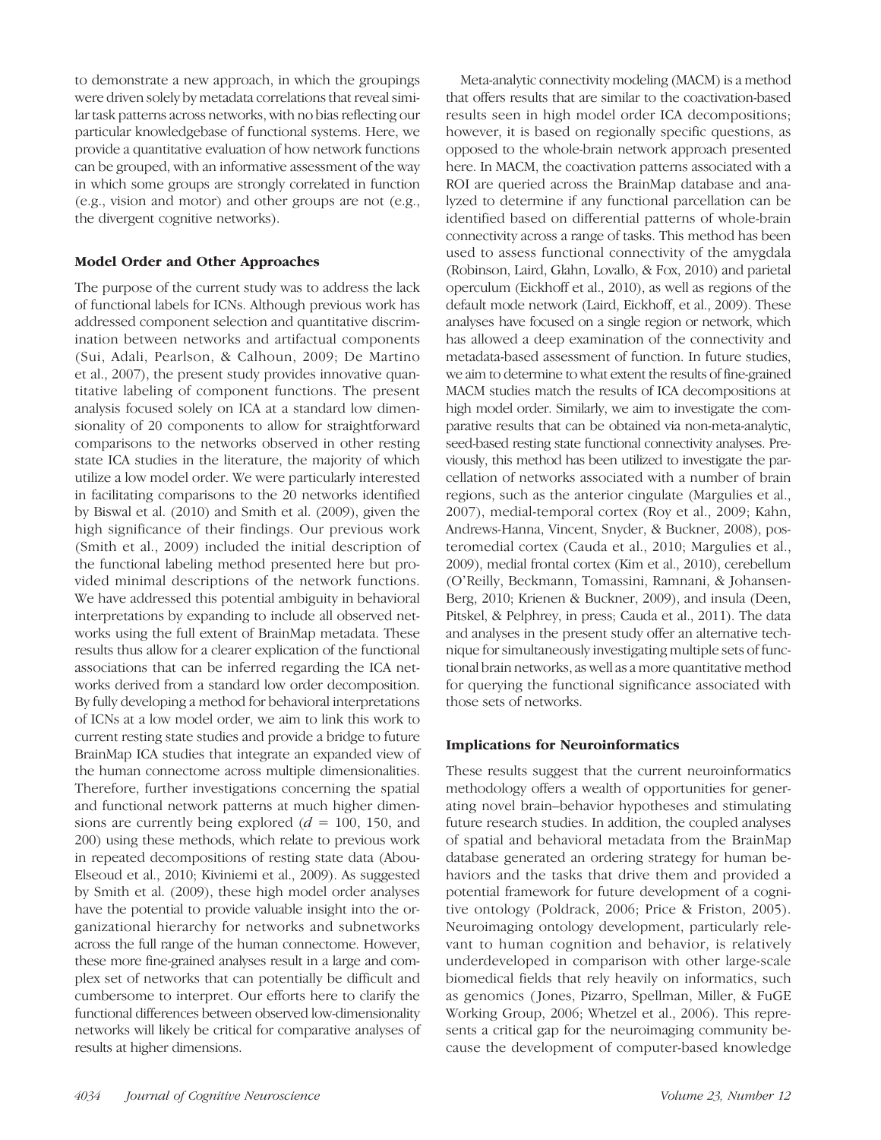to demonstrate a new approach, in which the groupings were driven solely by metadata correlations that reveal similar task patterns across networks, with no bias reflecting our particular knowledgebase of functional systems. Here, we provide a quantitative evaluation of how network functions can be grouped, with an informative assessment of the way in which some groups are strongly correlated in function (e.g., vision and motor) and other groups are not (e.g., the divergent cognitive networks).

# Model Order and Other Approaches

The purpose of the current study was to address the lack of functional labels for ICNs. Although previous work has addressed component selection and quantitative discrimination between networks and artifactual components (Sui, Adali, Pearlson, & Calhoun, 2009; De Martino et al., 2007), the present study provides innovative quantitative labeling of component functions. The present analysis focused solely on ICA at a standard low dimensionality of 20 components to allow for straightforward comparisons to the networks observed in other resting state ICA studies in the literature, the majority of which utilize a low model order. We were particularly interested in facilitating comparisons to the 20 networks identified by Biswal et al. (2010) and Smith et al. (2009), given the high significance of their findings. Our previous work (Smith et al., 2009) included the initial description of the functional labeling method presented here but provided minimal descriptions of the network functions. We have addressed this potential ambiguity in behavioral interpretations by expanding to include all observed networks using the full extent of BrainMap metadata. These results thus allow for a clearer explication of the functional associations that can be inferred regarding the ICA networks derived from a standard low order decomposition. By fully developing a method for behavioral interpretations of ICNs at a low model order, we aim to link this work to current resting state studies and provide a bridge to future BrainMap ICA studies that integrate an expanded view of the human connectome across multiple dimensionalities. Therefore, further investigations concerning the spatial and functional network patterns at much higher dimensions are currently being explored ( $d = 100$ , 150, and 200) using these methods, which relate to previous work in repeated decompositions of resting state data (Abou-Elseoud et al., 2010; Kiviniemi et al., 2009). As suggested by Smith et al. (2009), these high model order analyses have the potential to provide valuable insight into the organizational hierarchy for networks and subnetworks across the full range of the human connectome. However, these more fine-grained analyses result in a large and complex set of networks that can potentially be difficult and cumbersome to interpret. Our efforts here to clarify the functional differences between observed low-dimensionality networks will likely be critical for comparative analyses of results at higher dimensions.

Meta-analytic connectivity modeling (MACM) is a method that offers results that are similar to the coactivation-based results seen in high model order ICA decompositions; however, it is based on regionally specific questions, as opposed to the whole-brain network approach presented here. In MACM, the coactivation patterns associated with a ROI are queried across the BrainMap database and analyzed to determine if any functional parcellation can be identified based on differential patterns of whole-brain connectivity across a range of tasks. This method has been used to assess functional connectivity of the amygdala (Robinson, Laird, Glahn, Lovallo, & Fox, 2010) and parietal operculum (Eickhoff et al., 2010), as well as regions of the default mode network (Laird, Eickhoff, et al., 2009). These analyses have focused on a single region or network, which has allowed a deep examination of the connectivity and metadata-based assessment of function. In future studies, we aim to determine to what extent the results of fine-grained MACM studies match the results of ICA decompositions at high model order. Similarly, we aim to investigate the comparative results that can be obtained via non-meta-analytic, seed-based resting state functional connectivity analyses. Previously, this method has been utilized to investigate the parcellation of networks associated with a number of brain regions, such as the anterior cingulate (Margulies et al., 2007), medial-temporal cortex (Roy et al., 2009; Kahn, Andrews-Hanna, Vincent, Snyder, & Buckner, 2008), posteromedial cortex (Cauda et al., 2010; Margulies et al., 2009), medial frontal cortex (Kim et al., 2010), cerebellum (O'Reilly, Beckmann, Tomassini, Ramnani, & Johansen-Berg, 2010; Krienen & Buckner, 2009), and insula (Deen, Pitskel, & Pelphrey, in press; Cauda et al., 2011). The data and analyses in the present study offer an alternative technique for simultaneously investigating multiple sets of functional brain networks, as well as a more quantitative method for querying the functional significance associated with those sets of networks.

## Implications for Neuroinformatics

These results suggest that the current neuroinformatics methodology offers a wealth of opportunities for generating novel brain–behavior hypotheses and stimulating future research studies. In addition, the coupled analyses of spatial and behavioral metadata from the BrainMap database generated an ordering strategy for human behaviors and the tasks that drive them and provided a potential framework for future development of a cognitive ontology (Poldrack, 2006; Price & Friston, 2005). Neuroimaging ontology development, particularly relevant to human cognition and behavior, is relatively underdeveloped in comparison with other large-scale biomedical fields that rely heavily on informatics, such as genomics ( Jones, Pizarro, Spellman, Miller, & FuGE Working Group, 2006; Whetzel et al., 2006). This represents a critical gap for the neuroimaging community because the development of computer-based knowledge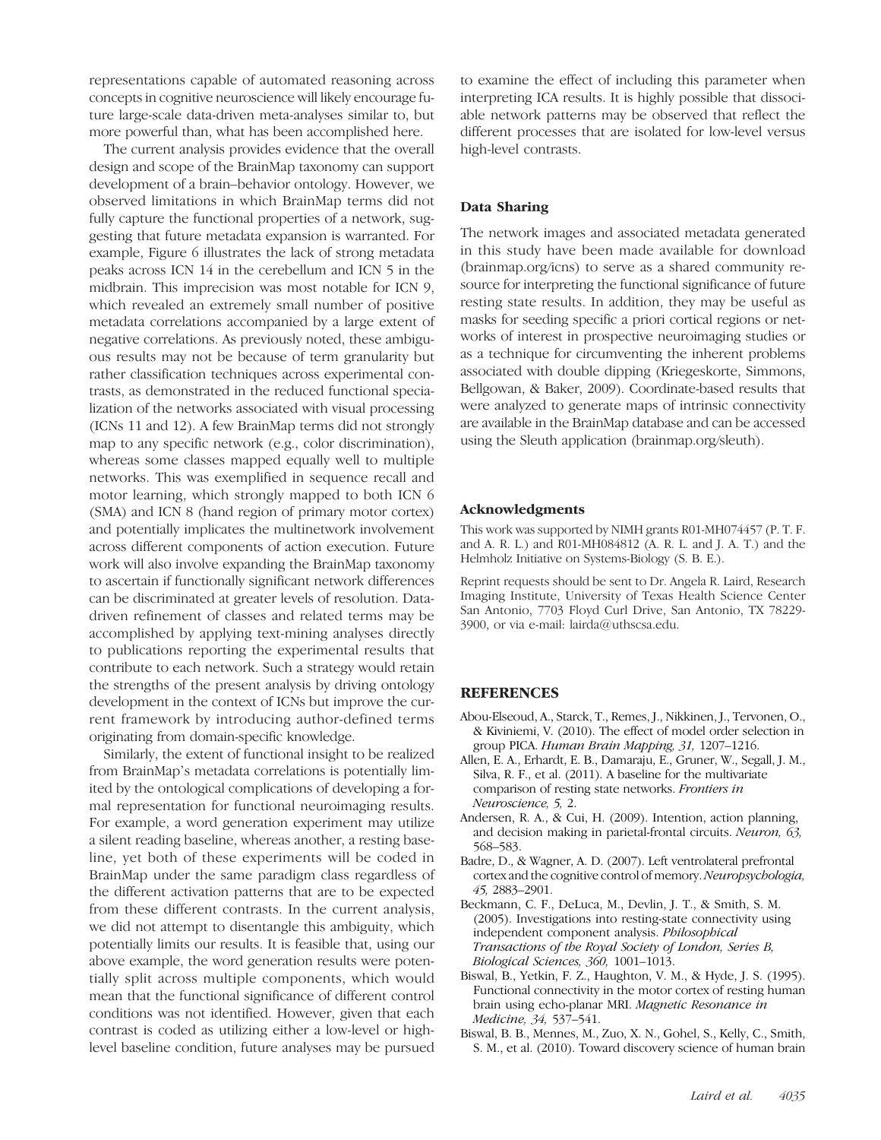representations capable of automated reasoning across concepts in cognitive neuroscience will likely encourage future large-scale data-driven meta-analyses similar to, but more powerful than, what has been accomplished here.

The current analysis provides evidence that the overall design and scope of the BrainMap taxonomy can support development of a brain–behavior ontology. However, we observed limitations in which BrainMap terms did not fully capture the functional properties of a network, suggesting that future metadata expansion is warranted. For example, Figure 6 illustrates the lack of strong metadata peaks across ICN 14 in the cerebellum and ICN 5 in the midbrain. This imprecision was most notable for ICN 9, which revealed an extremely small number of positive metadata correlations accompanied by a large extent of negative correlations. As previously noted, these ambiguous results may not be because of term granularity but rather classification techniques across experimental contrasts, as demonstrated in the reduced functional specialization of the networks associated with visual processing (ICNs 11 and 12). A few BrainMap terms did not strongly map to any specific network (e.g., color discrimination), whereas some classes mapped equally well to multiple networks. This was exemplified in sequence recall and motor learning, which strongly mapped to both ICN 6 (SMA) and ICN 8 (hand region of primary motor cortex) and potentially implicates the multinetwork involvement across different components of action execution. Future work will also involve expanding the BrainMap taxonomy to ascertain if functionally significant network differences can be discriminated at greater levels of resolution. Datadriven refinement of classes and related terms may be accomplished by applying text-mining analyses directly to publications reporting the experimental results that contribute to each network. Such a strategy would retain the strengths of the present analysis by driving ontology development in the context of ICNs but improve the current framework by introducing author-defined terms originating from domain-specific knowledge.

Similarly, the extent of functional insight to be realized from BrainMap's metadata correlations is potentially limited by the ontological complications of developing a formal representation for functional neuroimaging results. For example, a word generation experiment may utilize a silent reading baseline, whereas another, a resting baseline, yet both of these experiments will be coded in BrainMap under the same paradigm class regardless of the different activation patterns that are to be expected from these different contrasts. In the current analysis, we did not attempt to disentangle this ambiguity, which potentially limits our results. It is feasible that, using our above example, the word generation results were potentially split across multiple components, which would mean that the functional significance of different control conditions was not identified. However, given that each contrast is coded as utilizing either a low-level or highlevel baseline condition, future analyses may be pursued

to examine the effect of including this parameter when interpreting ICA results. It is highly possible that dissociable network patterns may be observed that reflect the different processes that are isolated for low-level versus high-level contrasts.

#### Data Sharing

The network images and associated metadata generated in this study have been made available for download (brainmap.org/icns) to serve as a shared community resource for interpreting the functional significance of future resting state results. In addition, they may be useful as masks for seeding specific a priori cortical regions or networks of interest in prospective neuroimaging studies or as a technique for circumventing the inherent problems associated with double dipping (Kriegeskorte, Simmons, Bellgowan, & Baker, 2009). Coordinate-based results that were analyzed to generate maps of intrinsic connectivity are available in the BrainMap database and can be accessed using the Sleuth application (brainmap.org/sleuth).

#### Acknowledgments

This work was supported by NIMH grants R01-MH074457 (P. T. F. and A. R. L.) and R01-MH084812 (A. R. L. and J. A. T.) and the Helmholz Initiative on Systems-Biology (S. B. E.).

Reprint requests should be sent to Dr. Angela R. Laird, Research Imaging Institute, University of Texas Health Science Center San Antonio, 7703 Floyd Curl Drive, San Antonio, TX 78229- 3900, or via e-mail: lairda@uthscsa.edu.

## REFERENCES

- Abou-Elseoud, A., Starck, T., Remes, J., Nikkinen, J., Tervonen, O., & Kiviniemi, V. (2010). The effect of model order selection in group PICA. Human Brain Mapping, 31, 1207–1216.
- Allen, E. A., Erhardt, E. B., Damaraju, E., Gruner, W., Segall, J. M., Silva, R. F., et al. (2011). A baseline for the multivariate comparison of resting state networks. Frontiers in Neuroscience, 5, 2.
- Andersen, R. A., & Cui, H. (2009). Intention, action planning, and decision making in parietal-frontal circuits. Neuron, 63, 568–583.
- Badre, D., & Wagner, A. D. (2007). Left ventrolateral prefrontal cortex and the cognitive control of memory. Neuropsychologia, 45, 2883–2901.
- Beckmann, C. F., DeLuca, M., Devlin, J. T., & Smith, S. M. (2005). Investigations into resting-state connectivity using independent component analysis. Philosophical Transactions of the Royal Society of London, Series B, Biological Sciences, 360, 1001–1013.
- Biswal, B., Yetkin, F. Z., Haughton, V. M., & Hyde, J. S. (1995). Functional connectivity in the motor cortex of resting human brain using echo-planar MRI. Magnetic Resonance in Medicine, 34, 537–541.
- Biswal, B. B., Mennes, M., Zuo, X. N., Gohel, S., Kelly, C., Smith, S. M., et al. (2010). Toward discovery science of human brain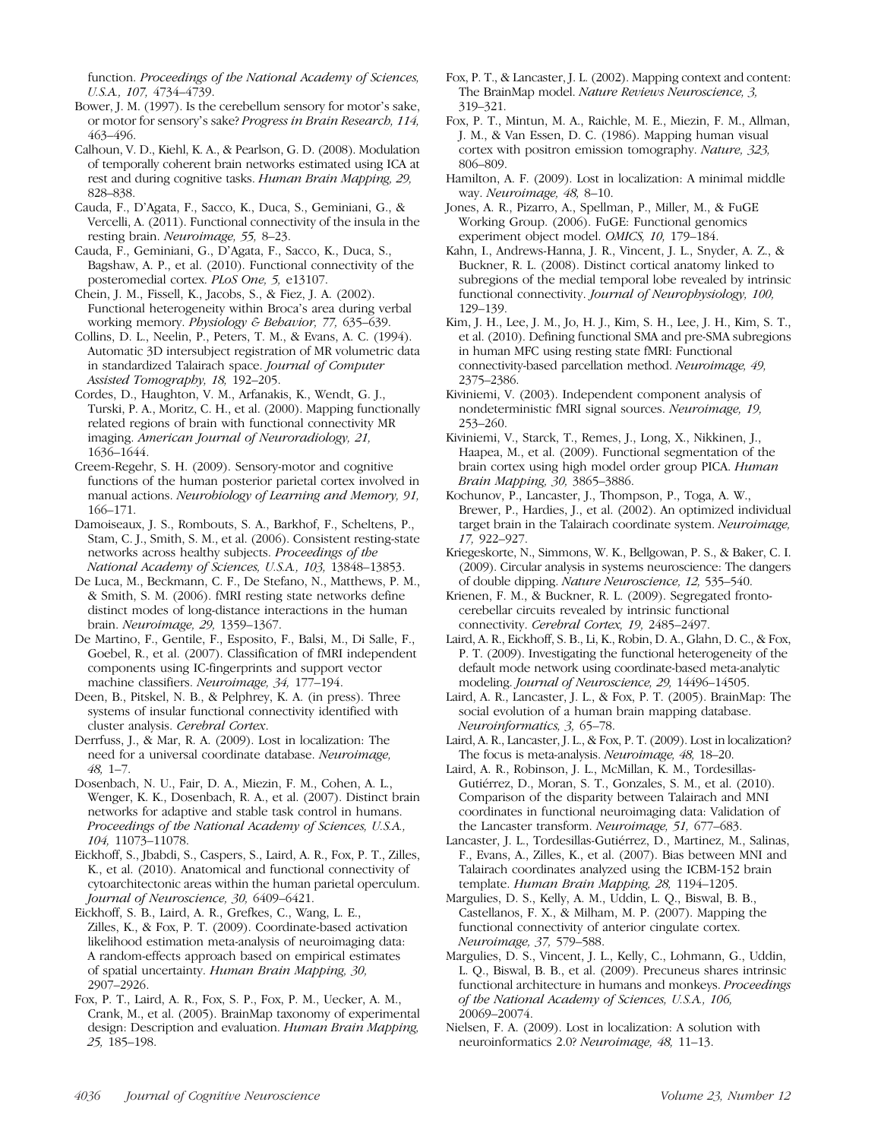function. Proceedings of the National Academy of Sciences, U.S.A., 107, 4734–4739.

Bower, J. M. (1997). Is the cerebellum sensory for motor's sake, or motor for sensory's sake? Progress in Brain Research, 114, 463–496.

Calhoun, V. D., Kiehl, K. A., & Pearlson, G. D. (2008). Modulation of temporally coherent brain networks estimated using ICA at rest and during cognitive tasks. Human Brain Mapping, 29, 828–838.

Cauda, F., D'Agata, F., Sacco, K., Duca, S., Geminiani, G., & Vercelli, A. (2011). Functional connectivity of the insula in the resting brain. Neuroimage, 55, 8–23.

Cauda, F., Geminiani, G., D'Agata, F., Sacco, K., Duca, S., Bagshaw, A. P., et al. (2010). Functional connectivity of the posteromedial cortex. PLoS One, 5, e13107.

Chein, J. M., Fissell, K., Jacobs, S., & Fiez, J. A. (2002). Functional heterogeneity within Broca's area during verbal working memory. Physiology & Behavior, 77, 635–639.

Collins, D. L., Neelin, P., Peters, T. M., & Evans, A. C. (1994). Automatic 3D intersubject registration of MR volumetric data in standardized Talairach space. Journal of Computer Assisted Tomography, 18, 192–205.

Cordes, D., Haughton, V. M., Arfanakis, K., Wendt, G. J., Turski, P. A., Moritz, C. H., et al. (2000). Mapping functionally related regions of brain with functional connectivity MR imaging. American Journal of Neuroradiology, 21, 1636–1644.

Creem-Regehr, S. H. (2009). Sensory-motor and cognitive functions of the human posterior parietal cortex involved in manual actions. Neurobiology of Learning and Memory, 91, 166–171.

Damoiseaux, J. S., Rombouts, S. A., Barkhof, F., Scheltens, P., Stam, C. J., Smith, S. M., et al. (2006). Consistent resting-state networks across healthy subjects. Proceedings of the National Academy of Sciences, U.S.A., 103, 13848–13853.

De Luca, M., Beckmann, C. F., De Stefano, N., Matthews, P. M., & Smith, S. M. (2006). fMRI resting state networks define distinct modes of long-distance interactions in the human brain. Neuroimage, 29, 1359–1367.

De Martino, F., Gentile, F., Esposito, F., Balsi, M., Di Salle, F., Goebel, R., et al. (2007). Classification of fMRI independent components using IC-fingerprints and support vector machine classifiers. Neuroimage, 34, 177–194.

Deen, B., Pitskel, N. B., & Pelphrey, K. A. (in press). Three systems of insular functional connectivity identified with cluster analysis. Cerebral Cortex.

Derrfuss, J., & Mar, R. A. (2009). Lost in localization: The need for a universal coordinate database. Neuroimage, 48, 1–7.

Dosenbach, N. U., Fair, D. A., Miezin, F. M., Cohen, A. L., Wenger, K. K., Dosenbach, R. A., et al. (2007). Distinct brain networks for adaptive and stable task control in humans. Proceedings of the National Academy of Sciences, U.S.A., 104, 11073–11078.

Eickhoff, S., Jbabdi, S., Caspers, S., Laird, A. R., Fox, P. T., Zilles, K., et al. (2010). Anatomical and functional connectivity of cytoarchitectonic areas within the human parietal operculum. Journal of Neuroscience, 30, 6409–6421.

Eickhoff, S. B., Laird, A. R., Grefkes, C., Wang, L. E., Zilles, K., & Fox, P. T. (2009). Coordinate-based activation likelihood estimation meta-analysis of neuroimaging data: A random-effects approach based on empirical estimates of spatial uncertainty. Human Brain Mapping, 30, 2907–2926.

Fox, P. T., Laird, A. R., Fox, S. P., Fox, P. M., Uecker, A. M., Crank, M., et al. (2005). BrainMap taxonomy of experimental design: Description and evaluation. Human Brain Mapping, 25, 185–198.

Fox, P. T., Mintun, M. A., Raichle, M. E., Miezin, F. M., Allman, J. M., & Van Essen, D. C. (1986). Mapping human visual cortex with positron emission tomography. Nature, 323, 806–809.

Hamilton, A. F. (2009). Lost in localization: A minimal middle way. Neuroimage, 48, 8–10.

Jones, A. R., Pizarro, A., Spellman, P., Miller, M., & FuGE Working Group. (2006). FuGE: Functional genomics experiment object model. OMICS, 10, 179–184.

Kahn, I., Andrews-Hanna, J. R., Vincent, J. L., Snyder, A. Z., & Buckner, R. L. (2008). Distinct cortical anatomy linked to subregions of the medial temporal lobe revealed by intrinsic functional connectivity. Journal of Neurophysiology, 100, 129–139.

Kim, J. H., Lee, J. M., Jo, H. J., Kim, S. H., Lee, J. H., Kim, S. T., et al. (2010). Defining functional SMA and pre-SMA subregions in human MFC using resting state fMRI: Functional connectivity-based parcellation method. Neuroimage, 49, 2375–2386.

Kiviniemi, V. (2003). Independent component analysis of nondeterministic fMRI signal sources. Neuroimage, 19, 253–260.

Kiviniemi, V., Starck, T., Remes, J., Long, X., Nikkinen, J., Haapea, M., et al. (2009). Functional segmentation of the brain cortex using high model order group PICA. Human Brain Mapping, 30, 3865–3886.

Kochunov, P., Lancaster, J., Thompson, P., Toga, A. W., Brewer, P., Hardies, J., et al. (2002). An optimized individual target brain in the Talairach coordinate system. Neuroimage, 17, 922–927.

Kriegeskorte, N., Simmons, W. K., Bellgowan, P. S., & Baker, C. I. (2009). Circular analysis in systems neuroscience: The dangers of double dipping. Nature Neuroscience, 12, 535–540.

Krienen, F. M., & Buckner, R. L. (2009). Segregated frontocerebellar circuits revealed by intrinsic functional connectivity. Cerebral Cortex, 19, 2485–2497.

Laird, A. R., Eickhoff, S. B., Li, K., Robin, D. A., Glahn, D. C., & Fox, P. T. (2009). Investigating the functional heterogeneity of the default mode network using coordinate-based meta-analytic modeling. Journal of Neuroscience, 29, 14496–14505.

Laird, A. R., Lancaster, J. L., & Fox, P. T. (2005). BrainMap: The social evolution of a human brain mapping database. Neuroinformatics, 3, 65–78.

Laird, A. R., Lancaster, J. L., & Fox, P. T. (2009). Lost in localization? The focus is meta-analysis. Neuroimage, 48, 18–20.

Laird, A. R., Robinson, J. L., McMillan, K. M., Tordesillas-Gutiérrez, D., Moran, S. T., Gonzales, S. M., et al. (2010). Comparison of the disparity between Talairach and MNI coordinates in functional neuroimaging data: Validation of the Lancaster transform. Neuroimage, 51, 677–683.

Lancaster, J. L., Tordesillas-Gutiérrez, D., Martinez, M., Salinas, F., Evans, A., Zilles, K., et al. (2007). Bias between MNI and Talairach coordinates analyzed using the ICBM-152 brain template. Human Brain Mapping, 28, 1194–1205.

Margulies, D. S., Kelly, A. M., Uddin, L. Q., Biswal, B. B., Castellanos, F. X., & Milham, M. P. (2007). Mapping the functional connectivity of anterior cingulate cortex. Neuroimage, 37, 579–588.

Margulies, D. S., Vincent, J. L., Kelly, C., Lohmann, G., Uddin, L. Q., Biswal, B. B., et al. (2009). Precuneus shares intrinsic functional architecture in humans and monkeys. Proceedings of the National Academy of Sciences, U.S.A., 106, 20069–20074.

Nielsen, F. A. (2009). Lost in localization: A solution with neuroinformatics 2.0? Neuroimage, 48, 11–13.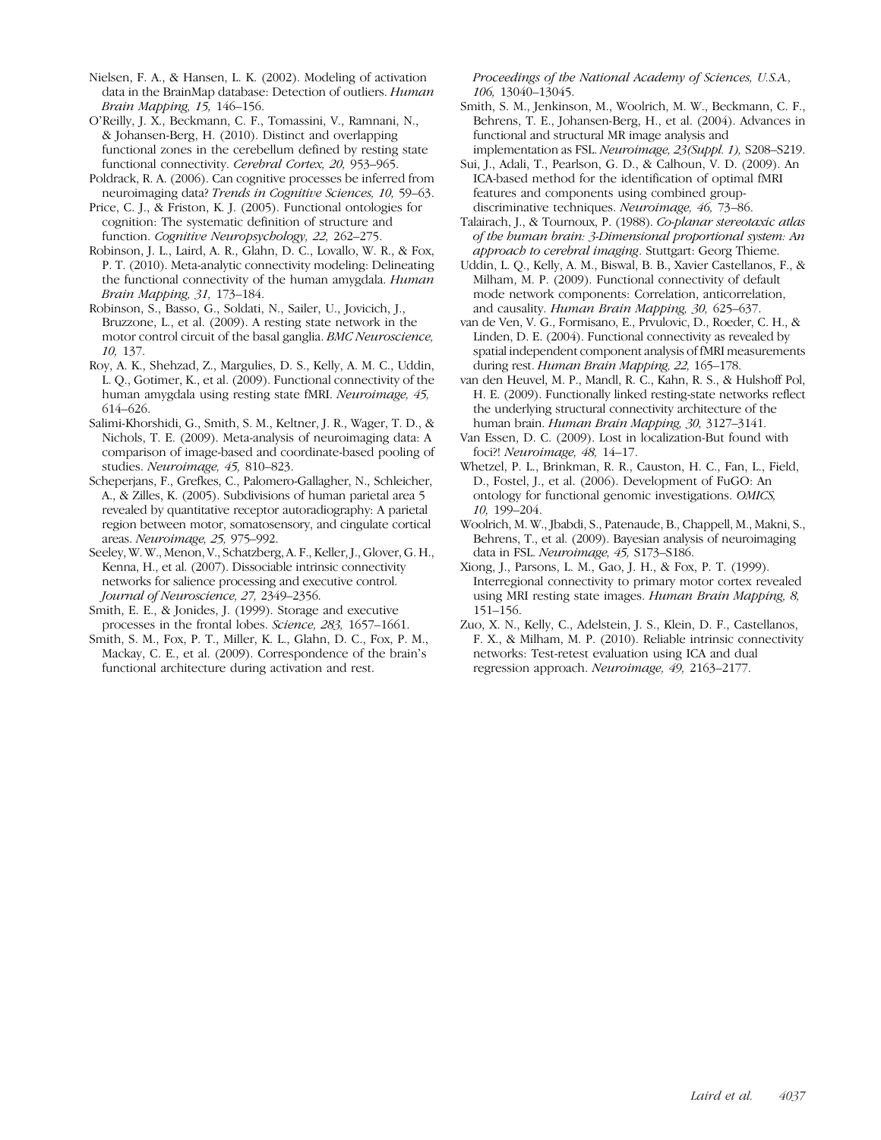Nielsen, F. A., & Hansen, L. K. (2002). Modeling of activation data in the BrainMap database: Detection of outliers. Human Brain Mapping, 15, 146–156.

O'Reilly, J. X., Beckmann, C. F., Tomassini, V., Ramnani, N., & Johansen-Berg, H. (2010). Distinct and overlapping functional zones in the cerebellum defined by resting state functional connectivity. Cerebral Cortex, 20, 953-965.

Poldrack, R. A. (2006). Can cognitive processes be inferred from neuroimaging data? Trends in Cognitive Sciences, 10, 59–63.

Price, C. J., & Friston, K. J. (2005). Functional ontologies for cognition: The systematic definition of structure and function. Cognitive Neuropsychology, 22, 262-275.

Robinson, J. L., Laird, A. R., Glahn, D. C., Lovallo, W. R., & Fox, P. T. (2010). Meta-analytic connectivity modeling: Delineating the functional connectivity of the human amygdala. *Human* Brain Mapping, 31, 173–184.

Robinson, S., Basso, G., Soldati, N., Sailer, U., Jovicich, J., Bruzzone, L., et al. (2009). A resting state network in the motor control circuit of the basal ganglia. BMC Neuroscience, 10, 137.

Roy, A. K., Shehzad, Z., Margulies, D. S., Kelly, A. M. C., Uddin, L. Q., Gotimer, K., et al. (2009). Functional connectivity of the human amygdala using resting state fMRI. Neuroimage, 45, 614–626.

Salimi-Khorshidi, G., Smith, S. M., Keltner, J. R., Wager, T. D., & Nichols, T. E. (2009). Meta-analysis of neuroimaging data: A comparison of image-based and coordinate-based pooling of studies. Neuroimage, 45, 810–823.

Scheperjans, F., Grefkes, C., Palomero-Gallagher, N., Schleicher, A., & Zilles, K. (2005). Subdivisions of human parietal area 5 revealed by quantitative receptor autoradiography: A parietal region between motor, somatosensory, and cingulate cortical areas. Neuroimage, 25, 975–992.

Seeley, W. W., Menon, V., Schatzberg, A. F., Keller, J., Glover, G. H., Kenna, H., et al. (2007). Dissociable intrinsic connectivity networks for salience processing and executive control. Journal of Neuroscience, 27, 2349–2356.

Smith, E. E., & Jonides, J. (1999). Storage and executive processes in the frontal lobes. Science, 283, 1657–1661.

Smith, S. M., Fox, P. T., Miller, K. L., Glahn, D. C., Fox, P. M., Mackay, C. E., et al. (2009). Correspondence of the brain's functional architecture during activation and rest.

Proceedings of the National Academy of Sciences, U.S.A., 106, 13040–13045.

Smith, S. M., Jenkinson, M., Woolrich, M. W., Beckmann, C. F., Behrens, T. E., Johansen-Berg, H., et al. (2004). Advances in functional and structural MR image analysis and implementation as FSL. Neuroimage, 23(Suppl. 1), S208–S219.

Sui, J., Adali, T., Pearlson, G. D., & Calhoun, V. D. (2009). An ICA-based method for the identification of optimal fMRI features and components using combined groupdiscriminative techniques. Neuroimage, 46, 73–86.

Talairach, J., & Tournoux, P. (1988). Co-planar stereotaxic atlas of the human brain: 3-Dimensional proportional system: An approach to cerebral imaging. Stuttgart: Georg Thieme.

Uddin, L. Q., Kelly, A. M., Biswal, B. B., Xavier Castellanos, F., & Milham, M. P. (2009). Functional connectivity of default mode network components: Correlation, anticorrelation, and causality. Human Brain Mapping, 30, 625–637.

van de Ven, V. G., Formisano, E., Prvulovic, D., Roeder, C. H., & Linden, D. E. (2004). Functional connectivity as revealed by spatial independent component analysis of fMRI measurements during rest. Human Brain Mapping, 22, 165–178.

van den Heuvel, M. P., Mandl, R. C., Kahn, R. S., & Hulshoff Pol, H. E. (2009). Functionally linked resting-state networks reflect the underlying structural connectivity architecture of the human brain. Human Brain Mapping, 30, 3127–3141.

Van Essen, D. C. (2009). Lost in localization-But found with foci?! Neuroimage, 48, 14–17.

Whetzel, P. L., Brinkman, R. R., Causton, H. C., Fan, L., Field, D., Fostel, J., et al. (2006). Development of FuGO: An ontology for functional genomic investigations. OMICS, 10, 199–204.

Woolrich, M. W., Jbabdi, S., Patenaude, B., Chappell, M., Makni, S., Behrens, T., et al. (2009). Bayesian analysis of neuroimaging data in FSL. Neuroimage, 45, S173–S186.

Xiong, J., Parsons, L. M., Gao, J. H., & Fox, P. T. (1999). Interregional connectivity to primary motor cortex revealed using MRI resting state images. Human Brain Mapping, 8, 151–156.

Zuo, X. N., Kelly, C., Adelstein, J. S., Klein, D. F., Castellanos, F. X., & Milham, M. P. (2010). Reliable intrinsic connectivity networks: Test-retest evaluation using ICA and dual regression approach. Neuroimage, 49, 2163–2177.